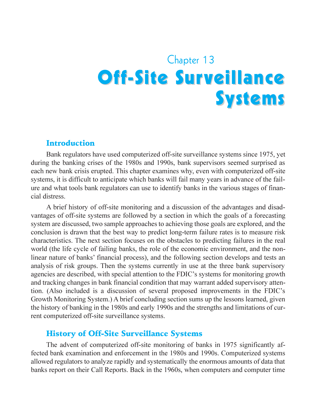# Chapter 13 **Off-Site Surveillance Systems**

#### Introduction

Bank regulators have used computerized off-site surveillance systems since 1975, yet during the banking crises of the 1980s and 1990s, bank supervisors seemed surprised as each new bank crisis erupted. This chapter examines why, even with computerized off-site systems, it is difficult to anticipate which banks will fail many years in advance of the failure and what tools bank regulators can use to identify banks in the various stages of financial distress.

A brief history of off-site monitoring and a discussion of the advantages and disadvantages of off-site systems are followed by a section in which the goals of a forecasting system are discussed, two sample approaches to achieving those goals are explored, and the conclusion is drawn that the best way to predict long-term failure rates is to measure risk characteristics. The next section focuses on the obstacles to predicting failures in the real world (the life cycle of failing banks, the role of the economic environment, and the nonlinear nature of banks' financial process), and the following section develops and tests an analysis of risk groups. Then the systems currently in use at the three bank supervisory agencies are described, with special attention to the FDIC's systems for monitoring growth and tracking changes in bank financial condition that may warrant added supervisory attention. (Also included is a discussion of several proposed improvements in the FDIC's Growth Monitoring System.) A brief concluding section sums up the lessons learned, given the history of banking in the 1980s and early 1990s and the strengths and limitations of current computerized off-site surveillance systems.

### History of Off-Site Surveillance Systems

The advent of computerized off-site monitoring of banks in 1975 significantly affected bank examination and enforcement in the 1980s and 1990s. Computerized systems allowed regulators to analyze rapidly and systematically the enormous amounts of data that banks report on their Call Reports. Back in the 1960s, when computers and computer time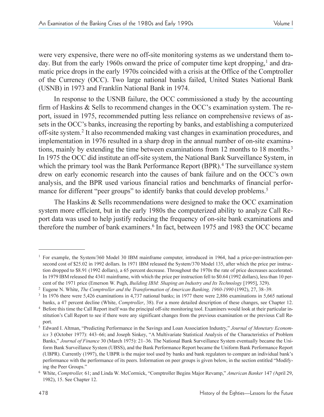were very expensive, there were no off-site monitoring systems as we understand them today. But from the early 1960s onward the price of computer time kept dropping,<sup>1</sup> and dramatic price drops in the early 1970s coincided with a crisis at the Office of the Comptroller of the Currency (OCC). Two large national banks failed, United States National Bank (USNB) in 1973 and Franklin National Bank in 1974.

In response to the USNB failure, the OCC commissioned a study by the accounting firm of Haskins  $\&$  Sells to recommend changes in the OCC's examination system. The report, issued in 1975, recommended putting less reliance on comprehensive reviews of assets in the OCC's banks, increasing the reporting by banks, and establishing a computerized off-site system.2 It also recommended making vast changes in examination procedures, and implementation in 1976 resulted in a sharp drop in the annual number of on-site examinations, mainly by extending the time between examinations from 12 months to 18 months.<sup>3</sup> In 1975 the OCC did institute an off-site system, the National Bank Surveillance System, in which the primary tool was the Bank Performance Report (BPR).<sup>4</sup> The surveillance system drew on early economic research into the causes of bank failure and on the OCC's own analysis, and the BPR used various financial ratios and benchmarks of financial performance for different "peer groups" to identify banks that could develop problems.<sup>5</sup>

The Haskins & Sells recommendations were designed to make the OCC examination system more efficient, but in the early 1980s the computerized ability to analyze Call Report data was used to help justify reducing the frequency of on-site bank examinations and therefore the number of bank examiners. <sup>6</sup> In fact, between 1975 and 1983 the OCC became

<sup>&</sup>lt;sup>1</sup> For example, the System/360 Model 30 IBM mainframe computer, introduced in 1964, had a price-per-instruction-persecond cost of \$25.02 in 1992 dollars. In 1971 IBM released the System/370 Model 135, after which the price per instruction dropped to \$8.91 (1992 dollars), a 65 percent decrease. Throughout the 1970s the rate of price decreases accelerated. In 1979 IBM released the 4341 mainframe, with which the price per instruction fell to \$0.64 (1992 dollars), less than 10 percent of the 1971 price (Emerson W. Pugh, *Building IBM: Shaping an Industry and Its Technology* [1995], 329).

<sup>&</sup>lt;sup>2</sup> Eugene N. White, *The Comptroller and the Transformation of American Banking, 1960-1990* (1992), 27, 38–39.

<sup>3</sup> In 1976 there were 5,426 examinations in 4,737 national banks; in 1977 there were 2,886 examinations in 5,665 national banks, a 47 percent decline (White, *Comptroller*, 38). For a more detailed description of these changes, see Chapter 12.

<sup>4</sup> Before this time the Call Report itself was the principal off-site monitoring tool. Examiners would look at their particular institution's Call Report to see if there were any significant changes from the previous examination or the previous Call Report.

<sup>&</sup>lt;sup>5</sup> Edward I. Altman, "Predicting Performance in the Savings and Loan Association Industry," Journal of Monetary Econom*ics* 3 (October 1977): 443–66; and Joseph Sinkey, "A Multivariate Statistical Analysis of the Characteristics of Problem Banks," *Journal of Finance* 30 (March 1975): 21-36. The National Bank Surveillance System eventually became the Uniform Bank Surveillance System (UBSS), and the Bank Performance Report became the Uniform Bank Performance Report (UBPR). Currently (1997), the UBPR is the major tool used by banks and bank regulators to compare an individual bank's performance with the performance of its peers. Information on peer groups is given below, in the section entitled Modifying the Peer Groups.

<sup>&</sup>lt;sup>6</sup> White, *Comptroller*, 61; and Linda W. McCormick, "Comptroller Begins Major Revamp," American Banker 147 (April 29, 1982), 15. See Chapter 12.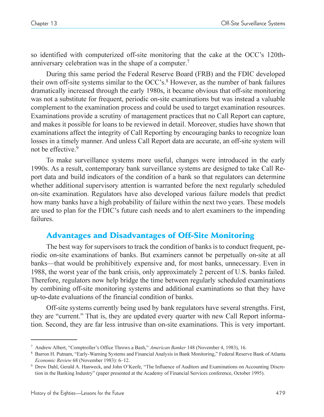so identified with computerized off-site monitoring that the cake at the OCC's 120thanniversary celebration was in the shape of a computer. 7

During this same period the Federal Reserve Board (FRB) and the FDIC developed their own off-site systems similar to the OCC's.<sup>8</sup> However, as the number of bank failures dramatically increased through the early 1980s, it became obvious that off-site monitoring was not a substitute for frequent, periodic on-site examinations but was instead a valuable complement to the examination process and could be used to target examination resources. Examinations provide a scrutiny of management practices that no Call Report can capture, and makes it possible for loans to be reviewed in detail. Moreover, studies have shown that examinations affect the integrity of Call Reporting by encouraging banks to recognize loan losses in a timely manner. And unless Call Report data are accurate, an off-site system will not be effective.9

To make surveillance systems more useful, changes were introduced in the early 1990s. As a result, contemporary bank surveillance systems are designed to take Call Report data and build indicators of the condition of a bank so that regulators can determine whether additional supervisory attention is warranted before the next regularly scheduled on-site examination. Regulators have also developed various failure models that predict how many banks have a high probability of failure within the next two years. These models are used to plan for the FDIC's future cash needs and to alert examiners to the impending failures.

# Advantages and Disadvantages of Off-Site Monitoring

The best way for supervisors to track the condition of banks is to conduct frequent, periodic on-site examinations of banks. But examiners cannot be perpetually on-site at all banks—that would be prohibitively expensive and, for most banks, unnecessary. Even in 1988, the worst year of the bank crisis, only approximately 2 percent of U.S. banks failed. Therefore, regulators now help bridge the time between regularly scheduled examinations by combining off-site monitoring systems and additional examinations so that they have up-to-date evaluations of the financial condition of banks.

Off-site systems currently being used by bank regulators have several strengths. First, they are "current." That is, they are updated every quarter with new Call Report information. Second, they are far less intrusive than on-site examinations. This is very important.

<sup>&</sup>lt;sup>7</sup> Andrew Albert, "Comptroller's Office Throws a Bash," American Banker 148 (November 4, 1983), 16.

<sup>&</sup>lt;sup>8</sup> Barron H. Putnam, "Early-Warning Systems and Financial Analysis in Bank Monitoring," Federal Reserve Bank of Atlanta *Economic Review* 68 (November 1983): 6-12.

<sup>&</sup>lt;sup>9</sup> Drew Dahl, Gerald A. Hanweck, and John O'Keefe, "The Influence of Auditors and Examinations on Accounting Discretion in the Banking Industry" (paper presented at the Academy of Financial Services conference, October 1995).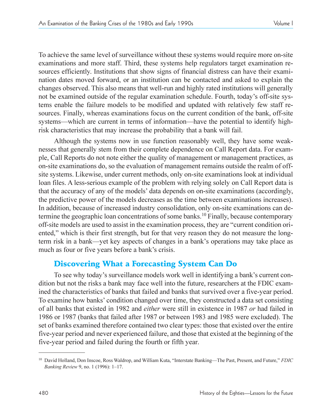To achieve the same level of surveillance without these systems would require more on-site examinations and more staff. Third, these systems help regulators target examination resources efficiently. Institutions that show signs of financial distress can have their examination dates moved forward, or an institution can be contacted and asked to explain the changes observed. This also means that well-run and highly rated institutions will generally not be examined outside of the regular examination schedule. Fourth, today's off-site systems enable the failure models to be modified and updated with relatively few staff resources. Finally, whereas examinations focus on the current condition of the bank, off-site systems—which are current in terms of information—have the potential to identify highrisk characteristics that may increase the probability that a bank will fail.

Although the systems now in use function reasonably well, they have some weaknesses that generally stem from their complete dependence on Call Report data. For example, Call Reports do not note either the quality of management or management practices, as on-site examinations do, so the evaluation of management remains outside the realm of offsite systems. Likewise, under current methods, only on-site examinations look at individual loan files. A less-serious example of the problem with relying solely on Call Report data is that the accuracy of any of the models' data depends on on-site examinations (accordingly, the predictive power of the models decreases as the time between examinations increases). In addition, because of increased industry consolidation, only on-site examinations can determine the geographic loan concentrations of some banks.<sup>10</sup> Finally, because contemporary off-site models are used to assist in the examination process, they are "current condition oriented," which is their first strength, but for that very reason they do not measure the longterm risk in a bank—yet key aspects of changes in a bank's operations may take place as much as four or five years before a bank's crisis.

# Discovering What a Forecasting System Can Do

To see why today's surveillance models work well in identifying a bank's current condition but not the risks a bank may face well into the future, researchers at the FDIC examined the characteristics of banks that failed and banks that survived over a five-year period. To examine how banks' condition changed over time, they constructed a data set consisting of all banks that existed in 1982 and *either* were still in existence in 1987 *or* had failed in 1986 or 1987 (banks that failed after 1987 or between 1983 and 1985 were excluded). The set of banks examined therefore contained two clear types: those that existed over the entire five-year period and never experienced failure, and those that existed at the beginning of the five-year period and failed during the fourth or fifth year.

<sup>&</sup>lt;sup>10</sup> David Holland, Don Inscoe, Ross Waldrop, and William Kuta, "Interstate Banking—The Past, Present, and Future," FDIC *Banking Review* 9, no. 1 (1996): 1-17.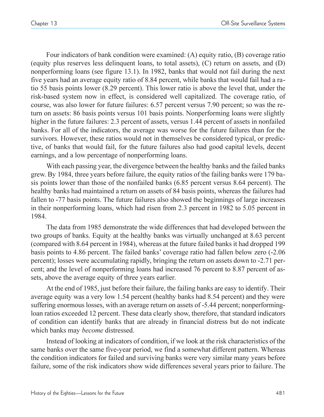Four indicators of bank condition were examined: (A) equity ratio, (B) coverage ratio (equity plus reserves less delinquent loans, to total assets), (C) return on assets, and (D) nonperforming loans (see figure 13.1). In 1982, banks that would not fail during the next five years had an average equity ratio of 8.84 percent, while banks that would fail had a ratio 55 basis points lower (8.29 percent). This lower ratio is above the level that, under the risk-based system now in effect, is considered well capitalized. The coverage ratio, of course, was also lower for future failures: 6.57 percent versus 7.90 percent; so was the return on assets: 86 basis points versus 101 basis points. Nonperforming loans were slightly higher in the future failures: 2.3 percent of assets, versus 1.44 percent of assets in nonfailed banks. For all of the indicators, the average was worse for the future failures than for the survivors. However, these ratios would not in themselves be considered typical, or predictive, of banks that would fail, for the future failures also had good capital levels, decent earnings, and a low percentage of nonperforming loans.

With each passing year, the divergence between the healthy banks and the failed banks grew. By 1984, three years before failure, the equity ratios of the failing banks were 179 basis points lower than those of the nonfailed banks (6.85 percent versus 8.64 percent). The healthy banks had maintained a return on assets of 84 basis points, whereas the failures had fallen to -77 basis points. The future failures also showed the beginnings of large increases in their nonperforming loans, which had risen from 2.3 percent in 1982 to 5.05 percent in 1984.

The data from 1985 demonstrate the wide differences that had developed between the two groups of banks. Equity at the healthy banks was virtually unchanged at 8.63 percent (compared with 8.64 percent in 1984), whereas at the future failed banks it had dropped 199 basis points to 4.86 percent. The failed banks' coverage ratio had fallen below zero (-2.06 percent); losses were accumulating rapidly, bringing the return on assets down to -2.71 percent; and the level of nonperforming loans had increased 76 percent to 8.87 percent of assets, above the average equity of three years earlier.

At the end of 1985, just before their failure, the failing banks are easy to identify. Their average equity was a very low 1.54 percent (healthy banks had 8.54 percent) and they were suffering enormous losses, with an average return on assets of -5.44 percent; nonperformingloan ratios exceeded 12 percent. These data clearly show, therefore, that standard indicators of condition can identify banks that are already in financial distress but do not indicate which banks may *become* distressed.

Instead of looking at indicators of condition, if we look at the risk characteristics of the same banks over the same five-year period, we find a somewhat different pattern. Whereas the condition indicators for failed and surviving banks were very similar many years before failure, some of the risk indicators show wide differences several years prior to failure. The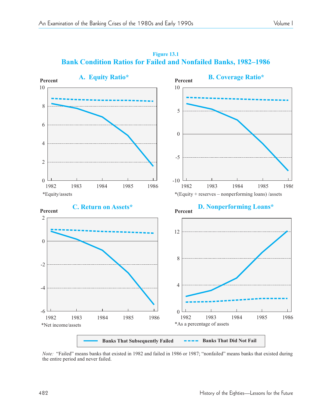

**Figure 13.1 Bank Condition Ratios for Failed and Nonfailed Banks, 1982-1986** 

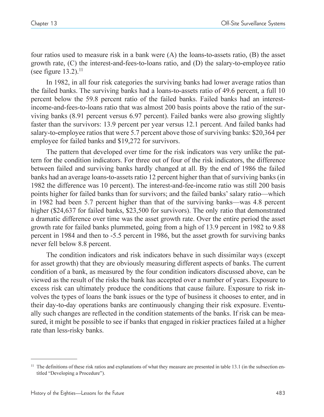four ratios used to measure risk in a bank were (A) the loans-to-assets ratio, (B) the asset growth rate, (C) the interest-and-fees-to-loans ratio, and (D) the salary-to-employee ratio (see figure  $13.2$ ).<sup>11</sup>

In 1982, in all four risk categories the surviving banks had lower average ratios than the failed banks. The surviving banks had a loans-to-assets ratio of 49.6 percent, a full 10 percent below the 59.8 percent ratio of the failed banks. Failed banks had an interestincome-and-fees-to-loans ratio that was almost 200 basis points above the ratio of the surviving banks (8.91 percent versus 6.97 percent). Failed banks were also growing slightly faster than the survivors: 13.9 percent per year versus 12.1 percent. And failed banks had salary-to-employee ratios that were 5.7 percent above those of surviving banks: \$20,364 per employee for failed banks and \$19,272 for survivors.

The pattern that developed over time for the risk indicators was very unlike the pattern for the condition indicators. For three out of four of the risk indicators, the difference between failed and surviving banks hardly changed at all. By the end of 1986 the failed banks had an average loans-to-assets ratio 12 percent higher than that of surviving banks (in 1982 the difference was 10 percent). The interest-and-fee-income ratio was still 200 basis points higher for failed banks than for survivors; and the failed banks' salary ratio—which in  $1982$  had been 5.7 percent higher than that of the surviving banks—was 4.8 percent higher (\$24,637 for failed banks, \$23,500 for survivors). The only ratio that demonstrated a dramatic difference over time was the asset growth rate. Over the entire period the asset growth rate for failed banks plummeted, going from a high of 13.9 percent in 1982 to 9.88 percent in 1984 and then to -5.5 percent in 1986, but the asset growth for surviving banks never fell below 8.8 percent.

The condition indicators and risk indicators behave in such dissimilar ways (except for asset growth) that they are obviously measuring different aspects of banks. The current condition of a bank, as measured by the four condition indicators discussed above, can be viewed as the result of the risks the bank has accepted over a number of years. Exposure to excess risk can ultimately produce the conditions that cause failure. Exposure to risk involves the types of loans the bank issues or the type of business it chooses to enter, and in their day-to-day operations banks are continuously changing their risk exposure. Eventually such changes are reflected in the condition statements of the banks. If risk can be measured, it might be possible to see if banks that engaged in riskier practices failed at a higher rate than less-risky banks.

 $11$  The definitions of these risk ratios and explanations of what they measure are presented in table 13.1 (in the subsection entitled "Developing a Procedure").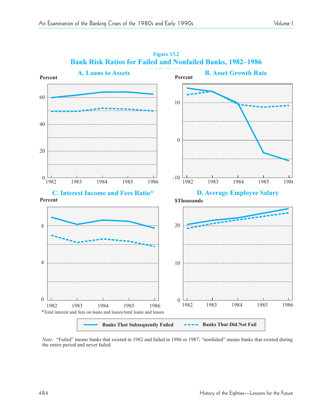

**1982–1986**<br> **Bank Risk Ratios for Failed and Nonfailed Banks, 1982–1986 Figure 13.2**

*Note:* "Failed" means banks that existed in 1982 and failed in 1986 or 1987; "nonfailed" means banks that existed during the entire period and never failed.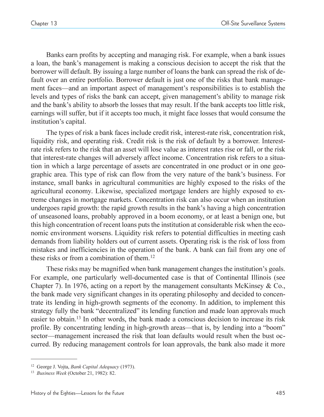Banks earn profits by accepting and managing risk. For example, when a bank issues a loan, the bank's management is making a conscious decision to accept the risk that the borrower will default. By issuing a large number of loans the bank can spread the risk of default over an entire portfolio. Borrower default is just one of the risks that bank management faces—and an important aspect of management's responsibilities is to establish the levels and types of risks the bank can accept, given management's ability to manage risk and the bank's ability to absorb the losses that may result. If the bank accepts too little risk, earnings will suffer, but if it accepts too much, it might face losses that would consume the institution's capital.

The types of risk a bank faces include credit risk, interest-rate risk, concentration risk, liquidity risk, and operating risk. Credit risk is the risk of default by a borrower. Interestrate risk refers to the risk that an asset will lose value as interest rates rise or fall, or the risk that interest-rate changes will adversely affect income. Concentration risk refers to a situation in which a large percentage of assets are concentrated in one product or in one geographic area. This type of risk can flow from the very nature of the bank's business. For instance, small banks in agricultural communities are highly exposed to the risks of the agricultural economy. Likewise, specialized mortgage lenders are highly exposed to extreme changes in mortgage markets. Concentration risk can also occur when an institution undergoes rapid growth: the rapid growth results in the bank's having a high concentration of unseasoned loans, probably approved in a boom economy, or at least a benign one, but this high concentration of recent loans puts the institution at considerable risk when the economic environment worsens. Liquidity risk refers to potential difficulties in meeting cash demands from liability holders out of current assets. Operating risk is the risk of loss from mistakes and inefficiencies in the operation of the bank. A bank can fail from any one of these risks or from a combination of them.<sup>12</sup>

These risks may be magnified when bank management changes the institution's goals. For example, one particularly well-documented case is that of Continental Illinois (see Chapter 7). In 1976, acting on a report by the management consultants McKinsey  $& Co.,$ the bank made very significant changes in its operating philosophy and decided to concentrate its lending in high-growth segments of the economy. In addition, to implement this strategy fully the bank "decentralized" its lending function and made loan approvals much easier to obtain.13 In other words, the bank made a conscious decision to increase its risk profile. By concentrating lending in high-growth areas—that is, by lending into a "boom" sector—management increased the risk that loan defaults would result when the bust occurred. By reducing management controls for loan approvals, the bank also made it more

<sup>12</sup> George J. Vojta, *Bank Capital Adequacy* (1973).

<sup>13</sup> *Business Week* (October 21, 1982): 82.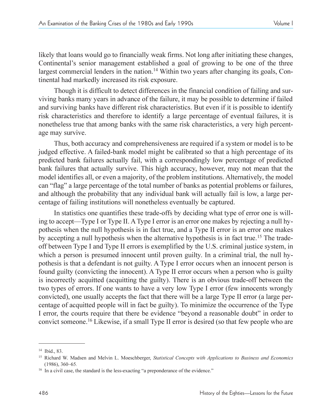likely that loans would go to financially weak firms. Not long after initiating these changes, Continental's senior management established a goal of growing to be one of the three largest commercial lenders in the nation.<sup>14</sup> Within two years after changing its goals, Continental had markedly increased its risk exposure.

Though it is difficult to detect differences in the financial condition of failing and surviving banks many years in advance of the failure, it may be possible to determine if failed and surviving banks have different risk characteristics. But even if it is possible to identify risk characteristics and therefore to identify a large percentage of eventual failures, it is nonetheless true that among banks with the same risk characteristics, a very high percentage may survive.

Thus, both accuracy and comprehensiveness are required if a system or model is to be judged effective. A failed-bank model might be calibrated so that a high percentage of its predicted bank failures actually fail, with a correspondingly low percentage of predicted bank failures that actually survive. This high accuracy, however, may not mean that the model identifies all, or even a majority, of the problem institutions. Alternatively, the model can "flag" a large percentage of the total number of banks as potential problems or failures, and although the probability that any individual bank will actually fail is low, a large percentage of failing institutions will nonetheless eventually be captured.

In statistics one quantifies these trade-offs by deciding what type of error one is willing to accept—Type I or Type II. A Type I error is an error one makes by rejecting a null hypothesis when the null hypothesis is in fact true, and a Type II error is an error one makes by accepting a null hypothesis when the alternative hypothesis is in fact true.<sup>15</sup> The tradeoff between Type I and Type II errors is exemplified by the U.S. criminal justice system, in which a person is presumed innocent until proven guilty. In a criminal trial, the null hypothesis is that a defendant is not guilty. A Type I error occurs when an innocent person is found guilty (convicting the innocent). A Type II error occurs when a person who is guilty is incorrectly acquitted (acquitting the guilty). There is an obvious trade-off between the two types of errors. If one wants to have a very low Type I error (few innocents wrongly convicted), one usually accepts the fact that there will be a large Type II error (a large percentage of acquitted people will in fact be guilty). To minimize the occurrence of the Type I error, the courts require that there be evidence "beyond a reasonable doubt" in order to convict someone.16 Likewise, if a small Type II error is desired (so that few people who are

<sup>14</sup> Ibid., 83.

<sup>15</sup> Richard W. Madsen and Melvin L. Moeschberger, *Statistical Concepts with Applications to Business and Economics* (1986), 360–65.

 $16$  In a civil case, the standard is the less-exacting "a preponderance of the evidence."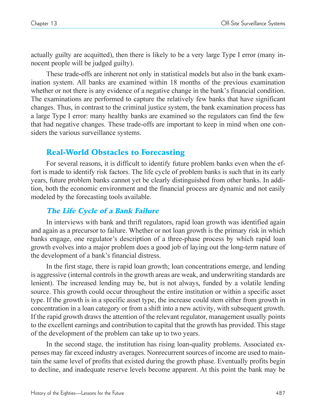actually guilty are acquitted), then there is likely to be a very large Type I error (many innocent people will be judged guilty).

These trade-offs are inherent not only in statistical models but also in the bank examination system. All banks are examined within 18 months of the previous examination whether or not there is any evidence of a negative change in the bank's financial condition. The examinations are performed to capture the relatively few banks that have significant changes. Thus, in contrast to the criminal justice system, the bank examination process has a large Type I error: many healthy banks are examined so the regulators can find the few that had negative changes. These trade-offs are important to keep in mind when one considers the various surveillance systems.

# Real-World Obstacles to Forecasting

For several reasons, it is difficult to identify future problem banks even when the effort is made to identify risk factors. The life cycle of problem banks is such that in its early years, future problem banks cannot yet be clearly distinguished from other banks. In addition, both the economic environment and the financial process are dynamic and not easily modeled by the forecasting tools available.

# The Life Cycle of a Bank Failure

In interviews with bank and thrift regulators, rapid loan growth was identified again and again as a precursor to failure. Whether or not loan growth is the primary risk in which banks engage, one regulator's description of a three-phase process by which rapid loan growth evolves into a major problem does a good job of laying out the long-term nature of the development of a bank's financial distress.

In the first stage, there is rapid loan growth; loan concentrations emerge, and lending is aggressive (internal controls in the growth areas are weak, and underwriting standards are lenient). The increased lending may be, but is not always, funded by a volatile lending source. This growth could occur throughout the entire institution or within a specific asset type. If the growth is in a specific asset type, the increase could stem either from growth in concentration in a loan category or from a shift into a new activity, with subsequent growth. If the rapid growth draws the attention of the relevant regulator, management usually points to the excellent earnings and contribution to capital that the growth has provided. This stage of the development of the problem can take up to two years.

In the second stage, the institution has rising loan-quality problems. Associated expenses may far exceed industry averages. Nonrecurrent sources of income are used to maintain the same level of profits that existed during the growth phase. Eventually profits begin to decline, and inadequate reserve levels become apparent. At this point the bank may be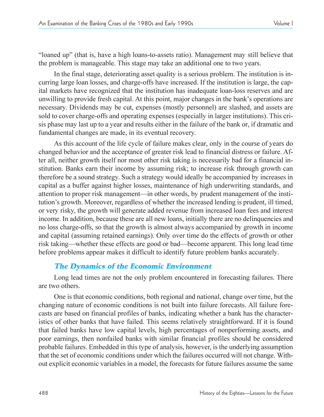"loaned up" (that is, have a high loans-to-assets ratio). Management may still believe that the problem is manageable. This stage may take an additional one to two years.

In the final stage, deteriorating asset quality is a serious problem. The institution is incurring large loan losses, and charge-offs have increased. If the institution is large, the capital markets have recognized that the institution has inadequate loan-loss reserves and are unwilling to provide fresh capital. At this point, major changes in the bank's operations are necessary. Dividends may be cut, expenses (mostly personnel) are slashed, and assets are sold to cover charge-offs and operating expenses (especially in larger institutions). This crisis phase may last up to a year and results either in the failure of the bank or, if dramatic and fundamental changes are made, in its eventual recovery.

As this account of the life cycle of failure makes clear, only in the course of years do changed behavior and the acceptance of greater risk lead to financial distress or failure. After all, neither growth itself nor most other risk taking is necessarily bad for a financial institution. Banks earn their income by assuming risk; to increase risk through growth can therefore be a sound strategy. Such a strategy would ideally be accompanied by increases in capital as a buffer against higher losses, maintenance of high underwriting standards, and attention to proper risk management—in other words, by prudent management of the institution's growth. Moreover, regardless of whether the increased lending is prudent, ill timed, or very risky, the growth will generate added revenue from increased loan fees and interest income. In addition, because these are all new loans, initially there are no delinquencies and no loss charge-offs, so that the growth is almost always accompanied by growth in income and capital (assuming retained earnings). Only over time do the effects of growth or other risk taking—whether these effects are good or bad—become apparent. This long lead time before problems appear makes it difficult to identify future problem banks accurately.

# The Dynamics of the Economic Environment

Long lead times are not the only problem encountered in forecasting failures. There are two others.

One is that economic conditions, both regional and national, change over time, but the changing nature of economic conditions is not built into failure forecasts. All failure forecasts are based on financial profiles of banks, indicating whether a bank has the characteristics of other banks that have failed. This seems relatively straightforward. If it is found that failed banks have low capital levels, high percentages of nonperforming assets, and poor earnings, then nonfailed banks with similar financial profiles should be considered probable failures. Embedded in this type of analysis, however, is the underlying assumption that the set of economic conditions under which the failures occurred will not change. Without explicit economic variables in a model, the forecasts for future failures assume the same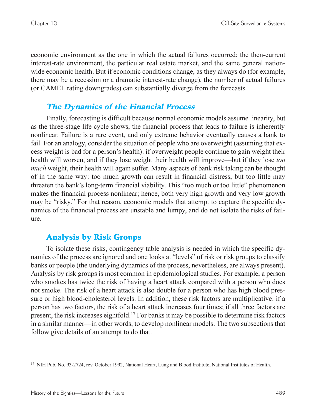economic environment as the one in which the actual failures occurred: the then-current interest-rate environment, the particular real estate market, and the same general nationwide economic health. But if economic conditions change, as they always do (for example, there may be a recession or a dramatic interest-rate change), the number of actual failures (or CAMEL rating downgrades) can substantially diverge from the forecasts.

# The Dynamics of the Financial Process

Finally, forecasting is difficult because normal economic models assume linearity, but as the three-stage life cycle shows, the financial process that leads to failure is inherently nonlinear. Failure is a rare event, and only extreme behavior eventually causes a bank to fail. For an analogy, consider the situation of people who are overweight (assuming that excess weight is bad for a person's health): if overweight people continue to gain weight their health will worsen, and if they lose weight their health will improve—but if they lose *too much* weight, their health will again suffer. Many aspects of bank risk taking can be thought of in the same way: too much growth can result in financial distress, but too little may threaten the bank's long-term financial viability. This "too much or too little" phenomenon makes the financial process nonlinear; hence, both very high growth and very low growth may be "risky." For that reason, economic models that attempt to capture the specific dynamics of the financial process are unstable and lumpy, and do not isolate the risks of failure.

# Analysis by Risk Groups

To isolate these risks, contingency table analysis is needed in which the specific dynamics of the process are ignored and one looks at "levels" of risk or risk groups to classify banks or people (the underlying dynamics of the process, nevertheless, are always present). Analysis by risk groups is most common in epidemiological studies. For example, a person who smokes has twice the risk of having a heart attack compared with a person who does not smoke. The risk of a heart attack is also double for a person who has high blood pressure or high blood-cholesterol levels. In addition, these risk factors are multiplicative: if a person has two factors, the risk of a heart attack increases four times; if all three factors are present, the risk increases eightfold.17 For banks it may be possible to determine risk factors in a similar manner—in other words, to develop nonlinear models. The two subsections that follow give details of an attempt to do that.

<sup>&</sup>lt;sup>17</sup> NIH Pub. No. 93-2724, rev. October 1992, National Heart, Lung and Blood Institute, National Institutes of Health.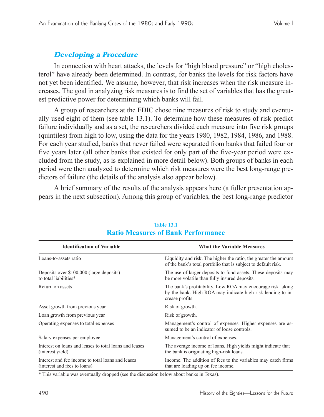# Developing a Procedure

In connection with heart attacks, the levels for "high blood pressure" or "high cholesterol" have already been determined. In contrast, for banks the levels for risk factors have not yet been identified. We assume, however, that risk increases when the risk measure increases. The goal in analyzing risk measures is to find the set of variables that has the greatest predictive power for determining which banks will fail.

A group of researchers at the FDIC chose nine measures of risk to study and eventually used eight of them (see table 13.1). To determine how these measures of risk predict failure individually and as a set, the researchers divided each measure into five risk groups (quintiles) from high to low, using the data for the years 1980, 1982, 1984, 1986, and 1988. For each year studied, banks that never failed were separated from banks that failed four or five years later (all other banks that existed for only part of the five-year period were excluded from the study, as is explained in more detail below). Both groups of banks in each period were then analyzed to determine which risk measures were the best long-range predictors of failure (the details of the analysis also appear below).

A brief summary of the results of the analysis appears here (a fuller presentation appears in the next subsection). Among this group of variables, the best long-range predictor

| <b>Identification of Variable</b>                                                 | <b>What the Variable Measures</b>                                                                                                             |  |  |  |  |  |
|-----------------------------------------------------------------------------------|-----------------------------------------------------------------------------------------------------------------------------------------------|--|--|--|--|--|
| Loans-to-assets ratio                                                             | Liquidity and risk. The higher the ratio, the greater the amount<br>of the bank's total portfolio that is subject to default risk.            |  |  |  |  |  |
| Deposits over \$100,000 (large deposits)<br>to total liabilities*                 | The use of larger deposits to fund assets. These deposits may<br>be more volatile than fully insured deposits.                                |  |  |  |  |  |
| Return on assets                                                                  | The bank's profitability. Low ROA may encourage risk taking<br>by the bank. High ROA may indicate high-risk lending to in-<br>crease profits. |  |  |  |  |  |
| Asset growth from previous year                                                   | Risk of growth.                                                                                                                               |  |  |  |  |  |
| Loan growth from previous year                                                    | Risk of growth.                                                                                                                               |  |  |  |  |  |
| Operating expenses to total expenses                                              | Management's control of expenses. Higher expenses are as-<br>sumed to be an indicator of loose controls.                                      |  |  |  |  |  |
| Salary expenses per employee                                                      | Management's control of expenses.                                                                                                             |  |  |  |  |  |
| Interest on loans and leases to total loans and leases<br>(interest yield)        | The average income of loans. High yields might indicate that<br>the bank is originating high-risk loans.                                      |  |  |  |  |  |
| Interest and fee income to total loans and leases<br>(interest and fees to loans) | Income. The addition of fees to the variables may catch firms<br>that are loading up on fee income.                                           |  |  |  |  |  |

#### **Table 13.1 Ratio Measures of Bank Performance**

\* This variable was eventually dropped (see the discussion below about banks in Texas).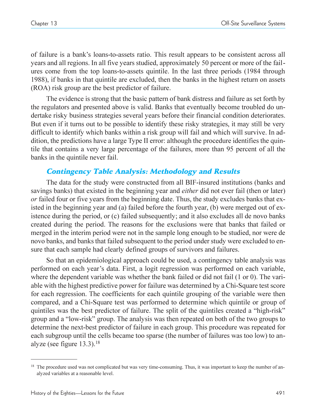of failure is a bank's loans-to-assets ratio. This result appears to be consistent across all years and all regions. In all five years studied, approximately 50 percent or more of the failures come from the top loans-to-assets quintile. In the last three periods (1984 through 1988), if banks in that quintile are excluded, then the banks in the highest return on assets (ROA) risk group are the best predictor of failure.

The evidence is strong that the basic pattern of bank distress and failure as set forth by the regulators and presented above is valid. Banks that eventually become troubled do undertake risky business strategies several years before their financial condition deteriorates. But even if it turns out to be possible to identify these risky strategies, it may still be very difficult to identify which banks within a risk group will fail and which will survive. In addition, the predictions have a large Type II error: although the procedure identifies the quintile that contains a very large percentage of the failures, more than 95 percent of all the banks in the quintile never fail.

# Contingency Table Analysis: Methodology and Results

The data for the study were constructed from all BIF-insured institutions (banks and savings banks) that existed in the beginning year and *either* did not ever fail (then or later) *or* failed four or five years from the beginning date. Thus, the study excludes banks that existed in the beginning year and (a) failed before the fourth year, (b) were merged out of existence during the period, or (c) failed subsequently; and it also excludes all de novo banks created during the period. The reasons for the exclusions were that banks that failed or merged in the interim period were not in the sample long enough to be studied, nor were de novo banks, and banks that failed subsequent to the period under study were excluded to ensure that each sample had clearly defined groups of survivors and failures.

So that an epidemiological approach could be used, a contingency table analysis was performed on each year's data. First, a logit regression was performed on each variable, where the dependent variable was whether the bank failed or did not fail (1 or 0). The variable with the highest predictive power for failure was determined by a Chi-Square test score for each regression. The coefficients for each quintile grouping of the variable were then compared, and a Chi-Square test was performed to determine which quintile or group of quintiles was the best predictor of failure. The split of the quintiles created a "high-risk" group and a "low-risk" group. The analysis was then repeated on both of the two groups to determine the next-best predictor of failure in each group. This procedure was repeated for each subgroup until the cells became too sparse (the number of failures was too low) to analyze (see figure  $13.3$ ).<sup>18</sup>

<sup>&</sup>lt;sup>18</sup> The procedure used was not complicated but was very time-consuming. Thus, it was important to keep the number of analyzed variables at a reasonable level.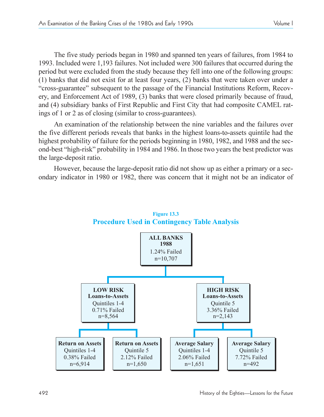The five study periods began in 1980 and spanned ten years of failures, from 1984 to 1993. Included were 1,193 failures. Not included were 300 failures that occurred during the period but were excluded from the study because they fell into one of the following groups: (1) banks that did not exist for at least four years, (2) banks that were taken over under a "cross-guarantee" subsequent to the passage of the Financial Institutions Reform, Recovery, and Enforcement Act of 1989, (3) banks that were closed primarily because of fraud, and (4) subsidiary banks of First Republic and First City that had composite CAMEL ratings of 1 or 2 as of closing (similar to cross-guarantees).

An examination of the relationship between the nine variables and the failures over the five different periods reveals that banks in the highest loans-to-assets quintile had the highest probability of failure for the periods beginning in 1980, 1982, and 1988 and the second-best "high-risk" probability in 1984 and 1986. In those two years the best predictor was the large-deposit ratio.

However, because the large-deposit ratio did not show up as either a primary or a secondary indicator in 1980 or 1982, there was concern that it might not be an indicator of



**Figure 13.3 Procedure Used in Contingency Table Analysis**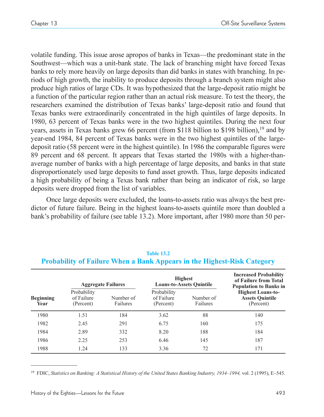volatile funding. This issue arose apropos of banks in Texas—the predominant state in the Southwest—which was a unit-bank state. The lack of branching might have forced Texas banks to rely more heavily on large deposits than did banks in states with branching. In periods of high growth, the inability to produce deposits through a branch system might also produce high ratios of large CDs. It was hypothesized that the large-deposit ratio might be a function of the particular region rather than an actual risk measure. To test the theory, the researchers examined the distribution of Texas banks' large-deposit ratio and found that Texas banks were extraordinarily concentrated in the high quintiles of large deposits. In 1980, 63 percent of Texas banks were in the two highest quintiles. During the next four years, assets in Texas banks grew 66 percent (from \$118 billion to \$198 billion),<sup>19</sup> and by year-end 1984, 84 percent of Texas banks were in the two highest quintiles of the largedeposit ratio (58 percent were in the highest quintile). In 1986 the comparable figures were 89 percent and 68 percent. It appears that Texas started the 1980s with a higher-thanaverage number of banks with a high percentage of large deposits, and banks in that state disproportionately used large deposits to fund asset growth. Thus, large deposits indicated a high probability of being a Texas bank rather than being an indicator of risk, so large deposits were dropped from the list of variables.

Once large deposits were excluded, the loans-to-assets ratio was always the best predictor of future failure. Being in the highest loans-to-assets quintile more than doubled a bank's probability of failure (see table 13.2). More important, after 1980 more than 50 per-

|                          |                                        | <b>Aggregate Failures</b> |                                        | <b>Highest</b><br><b>Loans-to-Assets Quintile</b> | <b>Increased Probability</b><br>of Failure from Total<br><b>Population to Banks in</b> |
|--------------------------|----------------------------------------|---------------------------|----------------------------------------|---------------------------------------------------|----------------------------------------------------------------------------------------|
| <b>Beginning</b><br>Year | Probability<br>of Failure<br>(Percent) | Number of<br>Failures     | Probability<br>of Failure<br>(Percent) | Number of<br>Failures                             | <b>Highest Loans-to-</b><br><b>Assets Quintile</b><br>(Percent)                        |
| 1980                     | 1.51                                   | 184                       | 3.62                                   | 88                                                | 140                                                                                    |
| 1982                     | 2.45                                   | 291                       | 6.75                                   | 160                                               | 175                                                                                    |
| 1984                     | 2.89                                   | 332                       | 8.20                                   | 188                                               | 184                                                                                    |
| 1986                     | 2.25                                   | 253                       | 6.46                                   | 145                                               | 187                                                                                    |
| 1988                     | 1.24                                   | 133                       | 3.36                                   | 72                                                | 171                                                                                    |

#### **Table 13.2 Probability of Failure When a Bank Appears in the Highest-Risk Category**

<sup>19</sup> FDIC, *Statistics on Banking: A Statistical History of the United States Banking Industry, 1934–1994, vol. 2 (1995), E-545.*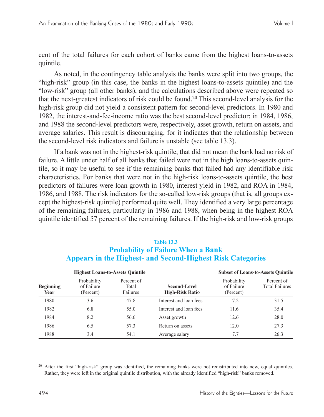cent of the total failures for each cohort of banks came from the highest loans-to-assets quintile.

As noted, in the contingency table analysis the banks were split into two groups, the "high-risk" group (in this case, the banks in the highest loans-to-assets quintile) and the "low-risk" group (all other banks), and the calculations described above were repeated so that the next-greatest indicators of risk could be found.20 This second-level analysis for the high-risk group did not yield a consistent pattern for second-level predictors. In 1980 and 1982, the interest-and-fee-income ratio was the best second-level predictor; in 1984, 1986, and 1988 the second-level predictors were, respectively, asset growth, return on assets, and average salaries. This result is discouraging, for it indicates that the relationship between the second-level risk indicators and failure is unstable (see table 13.3).

If a bank was not in the highest-risk quintile, that did not mean the bank had no risk of failure. A little under half of all banks that failed were not in the high loans-to-assets quintile, so it may be useful to see if the remaining banks that failed had any identifiable risk characteristics. For banks that were not in the high-risk loans-to-assets quintile, the best predictors of failures were loan growth in 1980, interest yield in 1982, and ROA in 1984, 1986, and 1988. The risk indicators for the so-called low-risk groups (that is, all groups except the highest-risk quintile) performed quite well. They identified a very large percentage of the remaining failures, particularly in 1986 and 1988, when being in the highest ROA quintile identified 57 percent of the remaining failures. If the high-risk and low-risk groups

#### **Table 13.3 Probability of Failure When a Bank Appears in the Highest- and Second-Highest Risk Categories**

|                          | <b>Highest Loans-to-Assets Quintile</b> |                                 |                                        |                                        | <b>Subset of Loans-to-Assets Quintile</b> |
|--------------------------|-----------------------------------------|---------------------------------|----------------------------------------|----------------------------------------|-------------------------------------------|
| <b>Beginning</b><br>Year | Probability<br>of Failure<br>(Percent)  | Percent of<br>Total<br>Failures | Second-Level<br><b>High-Risk Ratio</b> | Probability<br>of Failure<br>(Percent) | Percent of<br><b>Total Failures</b>       |
| 1980                     | 3.6                                     | 47.8                            | Interest and loan fees                 | 7.2                                    | 31.5                                      |
| 1982                     | 6.8                                     | 55.0                            | Interest and loan fees                 | 11.6                                   | 35.4                                      |
| 1984                     | 8.2                                     | 56.6                            | Asset growth                           | 12.6                                   | 28.0                                      |
| 1986                     | 6.5                                     | 57.3                            | Return on assets                       | 12.0                                   | 27.3                                      |
| 1988                     | 3.4                                     | 54.1                            | Average salary                         | 7.7                                    | 26.3                                      |

 $20$  After the first "high-risk" group was identified, the remaining banks were not redistributed into new, equal quintiles. Rather, they were left in the original quintile distribution, with the already identified "high-risk" banks removed.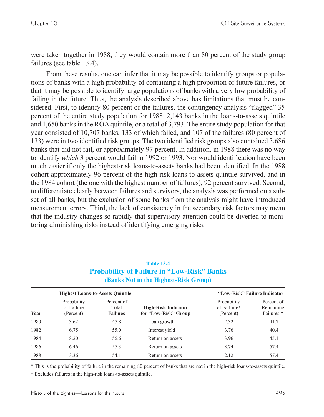were taken together in 1988, they would contain more than 80 percent of the study group failures (see table 13.4).

From these results, one can infer that it may be possible to identify groups or populations of banks with a high probability of containing a high proportion of future failures, or that it may be possible to identify large populations of banks with a very low probability of failing in the future. Thus, the analysis described above has limitations that must be considered. First, to identify 80 percent of the failures, the contingency analysis "flagged" 35 percent of the entire study population for 1988: 2,143 banks in the loans-to-assets quintile and 1,650 banks in the ROA quintile, or a total of 3,793. The entire study population for that year consisted of 10,707 banks, 133 of which failed, and 107 of the failures (80 percent of 133) were in two identified risk groups. The two identified risk groups also contained 3,686 banks that did not fail, or approximately 97 percent. In addition, in 1988 there was no way to identify *which* 3 percent would fail in 1992 or 1993. Nor would identification have been much easier if only the highest-risk loans-to-assets banks had been identified. In the 1988 cohort approximately 96 percent of the high-risk loans-to-assets quintile survived, and in the 1984 cohort (the one with the highest number of failures), 92 percent survived. Second, to differentiate clearly between failures and survivors, the analysis was performed on a subset of all banks, but the exclusion of some banks from the analysis might have introduced measurement errors. Third, the lack of consistency in the secondary risk factors may mean that the industry changes so rapidly that supervisory attention could be diverted to monitoring diminishing risks instead of identifying emerging risks.

| <b>Table 13.4</b>                                 |
|---------------------------------------------------|
| <b>Probability of Failure in "Low-Risk" Banks</b> |
| (Banks Not in the Highest-Risk Group)             |

|      |                                        | <b>Highest Loans-to-Assets Quintile</b> |                                                    | "Low-Risk" Failure Indicator             |                                       |
|------|----------------------------------------|-----------------------------------------|----------------------------------------------------|------------------------------------------|---------------------------------------|
| Year | Probability<br>of Failure<br>(Percent) | Percent of<br>Total<br>Failures         | <b>High-Risk Indicator</b><br>for "Low-Risk" Group | Probability<br>of Faillure*<br>(Percent) | Percent of<br>Remaining<br>Failures † |
| 1980 | 3.62                                   | 47.8                                    | Loan growth                                        | 2.32                                     | 41.7                                  |
| 1982 | 6.75                                   | 55.0                                    | Interest yield                                     | 3.76                                     | 40.4                                  |
| 1984 | 8.20                                   | 56.6                                    | Return on assets                                   | 3.96                                     | 45.1                                  |
| 1986 | 6.46                                   | 57.3                                    | Return on assets                                   | 3.74                                     | 57.4                                  |
| 1988 | 3.36                                   | 54.1                                    | Return on assets                                   | 2.12                                     | 57.4                                  |

\* This is the probability of failure in the remaining 80 percent of banks that are not in the high-risk loans-to-assets quintile.

Excludes failures in the high-risk loans-to-assets quintile.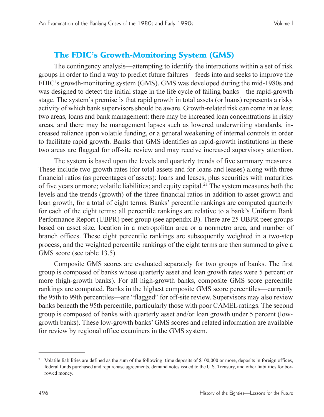# The FDIC's Growth-Monitoring System (GMS)

The contingency analysis—attempting to identify the interactions within a set of risk groups in order to find a way to predict future failures—feeds into and seeks to improve the FDIC's growth-monitoring system (GMS). GMS was developed during the mid-1980s and was designed to detect the initial stage in the life cycle of failing banks—the rapid-growth stage. The system's premise is that rapid growth in total assets (or loans) represents a risky activity of which bank supervisors should be aware. Growth-related risk can come in at least two areas, loans and bank management: there may be increased loan concentrations in risky areas, and there may be management lapses such as lowered underwriting standards, increased reliance upon volatile funding, or a general weakening of internal controls in order to facilitate rapid growth. Banks that GMS identifies as rapid-growth institutions in these two areas are flagged for off-site review and may receive increased supervisory attention.

The system is based upon the levels and quarterly trends of five summary measures. These include two growth rates (for total assets and for loans and leases) along with three financial ratios (as percentages of assets): loans and leases, plus securities with maturities of five years or more; volatile liabilities; and equity capital.21 The system measures both the levels and the trends (growth) of the three financial ratios in addition to asset growth and loan growth, for a total of eight terms. Banks' percentile rankings are computed quarterly for each of the eight terms; all percentile rankings are relative to a bank's Uniform Bank Performance Report (UBPR) peer group (see appendix B). There are 25 UBPR peer groups based on asset size, location in a metropolitan area or a nonmetro area, and number of branch offices. These eight percentile rankings are subsequently weighted in a two-step process, and the weighted percentile rankings of the eight terms are then summed to give a GMS score (see table 13.5).

Composite GMS scores are evaluated separately for two groups of banks. The first group is composed of banks whose quarterly asset and loan growth rates were 5 percent or more (high-growth banks). For all high-growth banks, composite GMS score percentile rankings are computed. Banks in the highest composite GMS score percentiles—currently the 95th to 99th percentiles—are "flagged" for off-site review. Supervisors may also review banks beneath the 95th percentile, particularly those with poor CAMEL ratings. The second group is composed of banks with quarterly asset and/or loan growth under 5 percent (lowgrowth banks). These low-growth banks' GMS scores and related information are available for review by regional office examiners in the GMS system.

<sup>&</sup>lt;sup>21</sup> Volatile liabilities are defined as the sum of the following: time deposits of \$100,000 or more, deposits in foreign offices, federal funds purchased and repurchase agreements, demand notes issued to the U.S. Treasury, and other liabilities for borrowed money.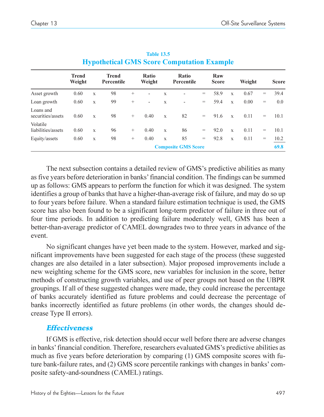|                                | <b>Trend</b><br>Weight |             | <b>Trend</b><br>Percentile |        | Ratio<br>Weight          |             | Ratio<br>Percentile        |     | Raw<br><b>Score</b> |              | Weight |     | <b>Score</b> |
|--------------------------------|------------------------|-------------|----------------------------|--------|--------------------------|-------------|----------------------------|-----|---------------------|--------------|--------|-----|--------------|
| Asset growth                   | 0.60                   | $\mathbf X$ | 98                         | $^{+}$ | ٠                        | $\mathbf x$ | ۰                          | $=$ | 58.9                | X            | 0.67   | $=$ | 39.4         |
| Loan growth                    | 0.60                   | X           | 99                         | $^{+}$ | $\overline{\phantom{a}}$ | X           | ۰                          | $=$ | 59.4                | $\mathbf{x}$ | 0.00   | $=$ | 0.0          |
| Loans and<br>securities/assets | 0.60                   | X           | 98                         | $^{+}$ | 0.40                     | $\mathbf x$ | 82                         | $=$ | 91.6                | $\mathbf{x}$ | 0.11   | $=$ | 10.1         |
| Volatile<br>liabilities/assets | 0.60                   | $\mathbf X$ | 96                         | $^{+}$ | 0.40                     | X           | 86                         | $=$ | 92.0                | $\mathbf x$  | 0.11   | $=$ | 10.1         |
| Equity/assets                  | 0.60                   | X           | 98                         | $^{+}$ | 0.40                     | X           | 85                         | $=$ | 92.8                | X            | 0.11   | $=$ | 10.2         |
|                                |                        |             |                            |        |                          |             | <b>Composite GMS Score</b> |     |                     |              |        |     | 69.8         |

**Table 13.5 Hypothetical GMS Score Computation Example**

The next subsection contains a detailed review of GMS's predictive abilities as many as five years before deterioration in banks' financial condition. The findings can be summed up as follows: GMS appears to perform the function for which it was designed. The system identifies a group of banks that have a higher-than-average risk of failure, and may do so up to four years before failure. When a standard failure estimation technique is used, the GMS score has also been found to be a significant long-term predictor of failure in three out of four time periods. In addition to predicting failure moderately well, GMS has been a better-than-average predictor of CAMEL downgrades two to three years in advance of the event.

No significant changes have yet been made to the system. However, marked and significant improvements have been suggested for each stage of the process (these suggested changes are also detailed in a later subsection). Major proposed improvements include a new weighting scheme for the GMS score, new variables for inclusion in the score, better methods of constructing growth variables, and use of peer groups not based on the UBPR groupings. If all of these suggested changes were made, they could increase the percentage of banks accurately identified as future problems and could decrease the percentage of banks incorrectly identified as future problems (in other words, the changes should decrease Type II errors).

# **Effectiveness**

If GMS is effective, risk detection should occur well before there are adverse changes in banks' financial condition. Therefore, researchers evaluated GMS's predictive abilities as much as five years before deterioration by comparing (1) GMS composite scores with future bank-failure rates, and (2) GMS score percentile rankings with changes in banks' composite safety-and-soundness (CAMEL) ratings.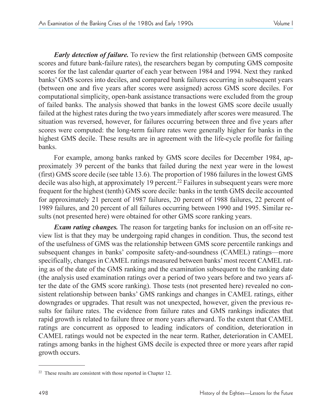*Early detection of failure.* To review the first relationship (between GMS composite scores and future bank-failure rates), the researchers began by computing GMS composite scores for the last calendar quarter of each year between 1984 and 1994. Next they ranked banks GMS scores into deciles, and compared bank failures occurring in subsequent years (between one and five years after scores were assigned) across GMS score deciles. For computational simplicity, open-bank assistance transactions were excluded from the group of failed banks. The analysis showed that banks in the lowest GMS score decile usually failed at the highest rates during the two years immediately after scores were measured. The situation was reversed, however, for failures occurring between three and five years after scores were computed: the long-term failure rates were generally higher for banks in the highest GMS decile. These results are in agreement with the life-cycle profile for failing banks.

For example, among banks ranked by GMS score deciles for December 1984, approximately 39 percent of the banks that failed during the next year were in the lowest (first) GMS score decile (see table 13.6). The proportion of 1986 failures in the lowest GMS decile was also high, at approximately 19 percent.<sup>22</sup> Failures in subsequent years were more frequent for the highest (tenth) GMS score decile: banks in the tenth GMS decile accounted for approximately 21 percent of 1987 failures, 20 percent of 1988 failures, 22 percent of 1989 failures, and 20 percent of all failures occurring between 1990 and 1995. Similar results (not presented here) were obtained for other GMS score ranking years.

*Exam rating changes.* The reason for targeting banks for inclusion on an off-site review list is that they may be undergoing rapid changes in condition. Thus, the second test of the usefulness of GMS was the relationship between GMS score percentile rankings and subsequent changes in banks' composite safety-and-soundness (CAMEL) ratings—more specifically, changes in CAMEL ratings measured between banks' most recent CAMEL rating as of the date of the GMS ranking and the examination subsequent to the ranking date (the analysis used examination ratings over a period of two years before and two years after the date of the GMS score ranking). Those tests (not presented here) revealed no consistent relationship between banks' GMS rankings and changes in CAMEL ratings, either downgrades or upgrades. That result was not unexpected, however, given the previous results for failure rates. The evidence from failure rates and GMS rankings indicates that rapid growth is related to failure three or more years afterward. To the extent that CAMEL ratings are concurrent as opposed to leading indicators of condition, deterioration in CAMEL ratings would not be expected in the near term. Rather, deterioration in CAMEL ratings among banks in the highest GMS decile is expected three or more years after rapid growth occurs.

<sup>22</sup> These results are consistent with those reported in Chapter 12.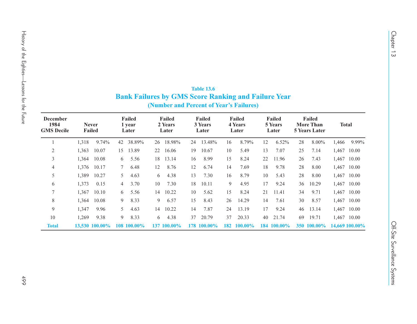| December<br>1984<br><b>GMS</b> Decile |       | <b>Never</b><br>Failed |    | Failed<br>1 year<br>Later |    | Failed<br>2 Years<br>Later |    | Failed<br>3 Years<br>Later |     | Failed<br>4 Years<br>Later |    | Failed<br>5 Years<br>Later |    | Failed<br><b>More Than</b><br><b>5 Years Later</b> |                | <b>Total</b> |
|---------------------------------------|-------|------------------------|----|---------------------------|----|----------------------------|----|----------------------------|-----|----------------------------|----|----------------------------|----|----------------------------------------------------|----------------|--------------|
| 1                                     | 1,318 | 9.74%                  | 42 | 38.89%                    | 26 | 18.98%                     | 24 | 13.48%                     | 16  | 8.79%                      | 12 | 6.52%                      | 28 | 8.00%                                              | 1,466          | 9.99%        |
| 2                                     | 1,363 | 10.07                  | 15 | 13.89                     | 22 | 16.06                      | 19 | 10.67                      | 10  | 5.49                       | 13 | 7.07                       | 25 | 7.14                                               |                | 1,467 10.00  |
| 3                                     | 1,364 | 10.08                  | 6  | 5.56                      | 18 | 13.14                      | 16 | 8.99                       | 15  | 8.24                       | 22 | 11.96                      | 26 | 7.43                                               |                | 1,467 10.00  |
| 4                                     | 1,376 | 10.17                  | 7  | 6.48                      | 12 | 8.76                       | 12 | 6.74                       | 14  | 7.69                       | 18 | 9.78                       | 28 | 8.00                                               |                | 1,467 10.00  |
| 5                                     | 1,389 | 10.27                  | 5  | 4.63                      | 6  | 4.38                       | 13 | 7.30                       | 16  | 8.79                       | 10 | 5.43                       | 28 | 8.00                                               |                | 1,467 10.00  |
| 6                                     | 1,373 | 0.15                   | 4  | 3.70                      | 10 | 7.30                       | 18 | 10.11                      | 9   | 4.95                       | 17 | 9.24                       | 36 | 10.29                                              |                | 1,467 10.00  |
| 7                                     | 1,367 | 10.10                  | 6  | 5.56                      | 14 | 10.22                      | 10 | 5.62                       | 15  | 8.24                       | 21 | 11.41                      | 34 | 9.71                                               |                | 1,467 10.00  |
| 8                                     | 1,364 | 10.08                  | 9  | 8.33                      | 9  | 6.57                       | 15 | 8.43                       | 26  | 14.29                      | 14 | 7.61                       | 30 | 8.57                                               |                | 1,467 10.00  |
| 9                                     | 1,347 | 9.96                   | 5  | 4.63                      | 14 | 10.22                      | 14 | 7.87                       | 24  | 13.19                      | 17 | 9.24                       | 46 | 13.14                                              |                | 1,467 10.00  |
| 10                                    | 1,269 | 9.38                   | 9  | 8.33                      | 6  | 4.38                       | 37 | 20.79                      | 37  | 20.33                      | 40 | 21.74                      | 69 | 19.71                                              |                | 1,467 10.00  |
| <b>Total</b>                          |       | 13,530 100.00%         |    | 108 100.00%               |    | 137 100.00%                |    | 178 100.00%                | 182 | 100.00%                    |    | 184 100.00%                |    | 350 100.00%                                        | 14,669 100.00% |              |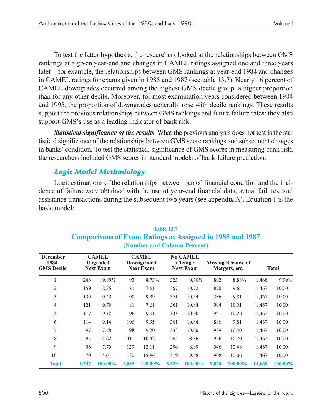To test the latter hypothesis, the researchers looked at the relationships between GMS rankings at a given year-end and changes in CAMEL ratings assigned one and three years later—for example, the relationships between GMS rankings at year-end 1984 and changes in CAMEL ratings for exams given in 1985 and 1987 (see table 13.7). Nearly 16 percent of CAMEL downgrades occurred among the highest GMS decile group, a higher proportion than for any other decile. Moreover, for most examination years considered between 1984 and 1995, the proportion of downgrades generally rose with decile rankings. These results support the previous relationships between GMS rankings and future failure rates; they also support GMS's use as a leading indicator of bank risk.

*Statistical significance of the results*. What the previous analysis does not test is the statistical significance of the relationships between GMS score rankings and subsequent changes in banks' condition. To test the statistical significance of GMS scores in measuring bank risk, the researchers included GMS scores in standard models of bank-failure prediction.

# Logit Model Methodology

Logit estimations of the relationships between banks' financial condition and the incidence of failure were obtained with the use of year-end financial data, actual failures, and assistance transactions during the subsequent two years (see appendix A). Equation 1 is the basic model:

| <b>December</b><br>1984<br><b>GMS</b> Decile |       | <b>CAMEL</b><br><b>Upgraded</b><br><b>Next Exam</b> |       | <b>CAMEL</b><br>Downgraded<br><b>Next Exam</b> |       | <b>No CAMEL</b><br>Change<br><b>Next Exam</b> |       | <b>Missing Because of</b><br>Mergers, etc. |        | <b>Total</b> |
|----------------------------------------------|-------|-----------------------------------------------------|-------|------------------------------------------------|-------|-----------------------------------------------|-------|--------------------------------------------|--------|--------------|
|                                              | 248   | 19.89%                                              | 93    | 8.73%                                          | 323   | 9.70%                                         | 802   | 8.88%                                      | 1,466  | 9.99%        |
| 2                                            | 159   | 12.75                                               | 81    | 7.61                                           | 357   | 10.72                                         | 870   | 9.64                                       | 1,467  | 10.00        |
| 3                                            | 130   | 10.43                                               | 100   | 9.39                                           | 351   | 10.54                                         | 886   | 9.81                                       | 1,467  | 10.00        |
| $\overline{4}$                               | 121   | 9.70                                                | 81    | 7.61                                           | 361   | 10.84                                         | 904   | 10.01                                      | 1,467  | 10.00        |
| 5                                            | 117   | 9.38                                                | 96    | 9.01                                           | 333   | 10.00                                         | 921   | 10.20                                      | 1,467  | 10.00        |
| 6                                            | 114   | 9.14                                                | 106   | 9.95                                           | 361   | 10.84                                         | 886   | 9.81                                       | 1,467  | 10.00        |
| 7                                            | 97    | 7.78                                                | 98    | 9.20                                           | 333   | 10.00                                         | 939   | 10.40                                      | 1,467  | 10.00        |
| 8                                            | 95    | 7.62                                                | 111   | 10.42                                          | 295   | 8.86                                          | 966   | 10.70                                      | 1,467  | 10.00        |
| 9                                            | 96    | 7.70                                                | 129   | 12.11                                          | 296   | 8.89                                          | 946   | 10.48                                      | 1,467  | 10.00        |
| 10                                           | 70    | 5.61                                                | 170   | 15.96                                          | 319   | 9.58                                          | 908   | 10.06                                      | 1,467  | 10.00        |
| <b>Total</b>                                 | 1.247 | 100.00%                                             | 1,065 | 100.00%                                        | 3,329 | 100.00%                                       | 9,028 | 100.00%                                    | 14,669 | 100.00%      |

# **Table 13.7 Comparisons of Exam Ratings as Assigned in 1985 and 1987 (Number and Column Percent)**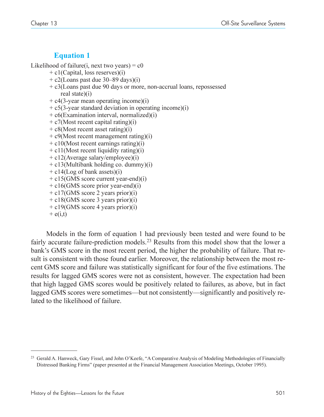# **Equation 1**

Likelihood of failure(i, next two years) =  $c0$ 

- + c1(Capital, loss reserves)(i)
- $+ c2$ (Loans past due 30–89 days)(i)
- + c3(Loans past due 90 days or more, non-accrual loans, repossessed real state)(i)
- $+ c4(3$ -year mean operating income)(i)
- $+ c5(3$ -year standard deviation in operating income)(i)
- + c6(Examination interval, normalized)(i)
- $+ c7$ (Most recent capital rating)(i)
- $+ c8$ (Most recent asset rating)(i)
- $+ c9$ (Most recent management rating)(i)
- $+ c10$ (Most recent earnings rating)(i)
- $+ c11$ (Most recent liquidity rating)(i)
- + c12(Average salary/employee)(i)
- + c13(Multibank holding co. dummy)(i)
- + c14(Log of bank assets)(i)
- $+ c15$ (GMS score current year-end)(i)
- $+ c16$ (GMS score prior year-end)(i)
- + c17(GMS score 2 years prior)(i)
- + c18(GMS score 3 years prior)(i)
- + c19(GMS score 4 years prior)(i)
- $+$  e(i,t)

Models in the form of equation 1 had previously been tested and were found to be fairly accurate failure-prediction models.<sup>23</sup> Results from this model show that the lower a bank's GMS score in the most recent period, the higher the probability of failure. That result is consistent with those found earlier. Moreover, the relationship between the most recent GMS score and failure was statistically significant for four of the five estimations. The results for lagged GMS scores were not as consistent, however. The expectation had been that high lagged GMS scores would be positively related to failures, as above, but in fact lagged GMS scores were sometimes—but not consistently—significantly and positively related to the likelihood of failure.

<sup>&</sup>lt;sup>23</sup> Gerald A. Hanweck, Gary Fissel, and John O'Keefe, "A Comparative Analysis of Modeling Methodologies of Financially Distressed Banking Firms (paper presented at the Financial Management Association Meetings, October 1995).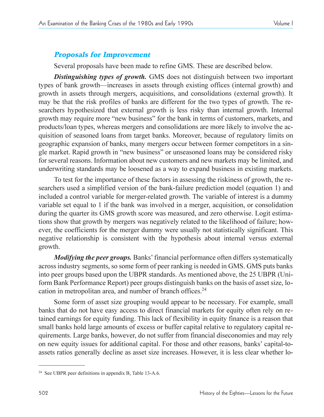# Proposals for Improvement

Several proposals have been made to refine GMS. These are described below.

*Distinguishing types of growth.* GMS does not distinguish between two important types of bank growth—increases in assets through existing offices (internal growth) and growth in assets through mergers, acquisitions, and consolidations (external growth). It may be that the risk profiles of banks are different for the two types of growth. The researchers hypothesized that external growth is less risky than internal growth. Internal growth may require more "new business" for the bank in terms of customers, markets, and products/loan types, whereas mergers and consolidations are more likely to involve the acquisition of seasoned loans from target banks. Moreover, because of regulatory limits on geographic expansion of banks, many mergers occur between former competitors in a single market. Rapid growth in "new business" or unseasoned loans may be considered risky for several reasons. Information about new customers and new markets may be limited, and underwriting standards may be loosened as a way to expand business in existing markets.

To test for the importance of these factors in assessing the riskiness of growth, the researchers used a simplified version of the bank-failure prediction model (equation 1) and included a control variable for merger-related growth. The variable of interest is a dummy variable set equal to 1 if the bank was involved in a merger, acquisition, or consolidation during the quarter its GMS growth score was measured, and zero otherwise. Logit estimations show that growth by mergers was negatively related to the likelihood of failure; however, the coefficients for the merger dummy were usually not statistically significant. This negative relationship is consistent with the hypothesis about internal versus external growth.

*Modifying the peer groups.* Banks' financial performance often differs systematically across industry segments, so some form of peer ranking is needed in GMS. GMS puts banks into peer groups based upon the UBPR standards. As mentioned above, the 25 UBPR (Uniform Bank Performance Report) peer groups distinguish banks on the basis of asset size, location in metropolitan area, and number of branch offices.<sup>24</sup>

Some form of asset size grouping would appear to be necessary. For example, small banks that do not have easy access to direct financial markets for equity often rely on retained earnings for equity funding. This lack of flexibility in equity finance is a reason that small banks hold large amounts of excess or buffer capital relative to regulatory capital requirements. Large banks, however, do not suffer from financial diseconomies and may rely on new equity issues for additional capital. For those and other reasons, banks' capital-toassets ratios generally decline as asset size increases. However, it is less clear whether lo-

<sup>24</sup> See UBPR peer definitions in appendix B, Table 13-A.6.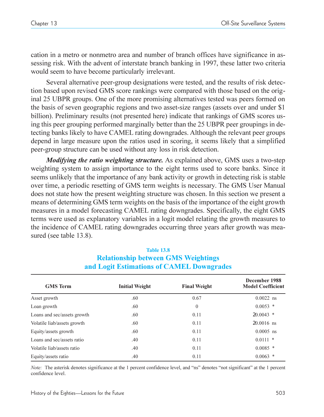cation in a metro or nonmetro area and number of branch offices have significance in assessing risk. With the advent of interstate branch banking in 1997, these latter two criteria would seem to have become particularly irrelevant.

Several alternative peer-group designations were tested, and the results of risk detection based upon revised GMS score rankings were compared with those based on the original 25 UBPR groups. One of the more promising alternatives tested was peers formed on the basis of seven geographic regions and two asset-size ranges (assets over and under \$1 billion). Preliminary results (not presented here) indicate that rankings of GMS scores using this peer grouping performed marginally better than the 25 UBPR peer groupings in detecting banks likely to have CAMEL rating downgrades. Although the relevant peer groups depend in large measure upon the ratios used in scoring, it seems likely that a simplified peer-group structure can be used without any loss in risk detection.

*Modifying the ratio weighting structure.* As explained above, GMS uses a two-step weighting system to assign importance to the eight terms used to score banks. Since it seems unlikely that the importance of any bank activity or growth in detecting risk is stable over time, a periodic resetting of GMS term weights is necessary. The GMS User Manual does not state how the present weighting structure was chosen. In this section we present a means of determining GMS term weights on the basis of the importance of the eight growth measures in a model forecasting CAMEL rating downgrades. Specifically, the eight GMS terms were used as explanatory variables in a logit model relating the growth measures to the incidence of CAMEL rating downgrades occurring three years after growth was measured (see table 13.8).

| <b>GMS</b> Term             | <b>Initial Weight</b> | <b>Final Weight</b> | December 1988<br><b>Model Coefficient</b> |
|-----------------------------|-----------------------|---------------------|-------------------------------------------|
| Asset growth                | .60                   | 0.67                | $0.0022$ ns                               |
| Loan growth                 | .60                   | $\mathbf{0}$        | $0.0053$ *                                |
| Loans and sec/assets growth | .60                   | 0.11                | $20.0043$ *                               |
| Volatile liab/assets growth | .60                   | 0.11                | $20.0016$ ns                              |
| Equity/assets growth        | .60                   | 0.11                | $0.0005$ ns                               |
| Loans and sec/assets ratio  | .40                   | 0.11                | $0.0111$ *                                |
| Volatile liab/assets ratio  | .40                   | 0.11                | $0.0085$ *                                |
| Equity/assets ratio         | .40                   | 0.11                | 0.0063<br>*                               |

#### **Table 13.8 Relationship between GMS Weightings and Logit Estimations of CAMEL Downgrades**

*Note:* The asterisk denotes significance at the 1 percent confidence level, and "ns" denotes "not significant" at the 1 percent confidence level.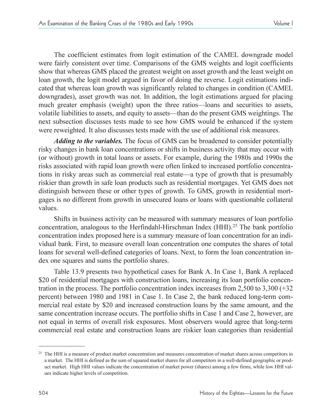The coefficient estimates from logit estimation of the CAMEL downgrade model were fairly consistent over time. Comparisons of the GMS weights and logit coefficients show that whereas GMS placed the greatest weight on asset growth and the least weight on loan growth, the logit model argued in favor of doing the reverse. Logit estimations indicated that whereas loan growth was significantly related to changes in condition (CAMEL downgrades), asset growth was not. In addition, the logit estimations argued for placing much greater emphasis (weight) upon the three ratios—loans and securities to assets, volatile liabilities to assets, and equity to assets—than do the present GMS weightings. The next subsection discusses tests made to see how GMS would be enhanced if the system were reweighted. It also discusses tests made with the use of additional risk measures.

*Adding to the variables.* The focus of GMS can be broadened to consider potentially risky changes in bank loan concentrations or shifts in business activity that may occur with (or without) growth in total loans or assets. For example, during the 1980s and 1990s the risks associated with rapid loan growth were often linked to increased portfolio concentrations in risky areas such as commercial real estate—a type of growth that is presumably riskier than growth in safe loan products such as residential mortgages. Yet GMS does not distinguish between these or other types of growth. To GMS, growth in residential mortgages is no different from growth in unsecured loans or loans with questionable collateral values.

Shifts in business activity can be measured with summary measures of loan portfolio concentration, analogous to the Herfindahl-Hirschman Index  $(HHI).<sup>25</sup>$  The bank portfolio concentration index proposed here is a summary measure of loan concentration for an individual bank. First, to measure overall loan concentration one computes the shares of total loans for several well-defined categories of loans. Next, to form the loan concentration index one squares and sums the portfolio shares.

Table 13.9 presents two hypothetical cases for Bank A. In Case 1, Bank A replaced \$20 of residential mortgages with construction loans, increasing its loan portfolio concentration in the process. The portfolio concentration index increases from 2,500 to 3,300 (+32 percent) between 1980 and 1981 in Case 1. In Case 2, the bank reduced long-term commercial real estate by \$20 and increased construction loans by the same amount, and the same concentration increase occurs. The portfolio shifts in Case 1 and Case 2, however, are not equal in terms of overall risk exposures. Most observers would agree that long-term commercial real estate and construction loans are riskier loan categories than residential

<sup>&</sup>lt;sup>25</sup> The HHI is a measure of product market concentration and measures concentration of market shares across competitors in a market. The HHI is defined as the sum of squared market shares for all competitors in a well-defined geographic or product market. High HHI values indicate the concentration of market power (shares) among a few firms, while low HHI values indicate higher levels of competition.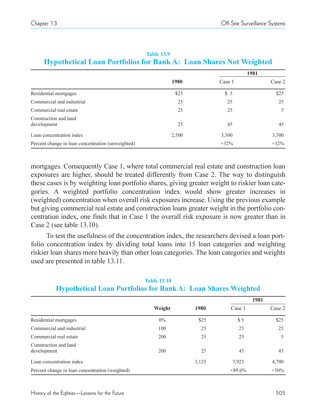|                                                   | 1980  |        | 1981   |
|---------------------------------------------------|-------|--------|--------|
|                                                   |       | Case 1 | Case 2 |
| Residential mortgages                             | \$25  | \$5    | \$25   |
| Commercial and industrial                         | 25    | 25     | 25     |
| Commercial real estate                            | 25    | 25     | 5      |
| Construction and land<br>development              | 25    | 45     | 45     |
| Loan concentration index                          | 2,500 | 3,300  | 3,300  |
| Percent change in loan concentration (unweighted) |       | $+32%$ | $+32%$ |

#### **Table 13.9 Hypothetical Loan Portfolios for Bank A: Loan Shares Not Weighted**

mortgages. Consequently Case 1, where total commercial real estate and construction loan exposures are higher, should be treated differently from Case 2. The way to distinguish these cases is by weighting loan portfolio shares, giving greater weight to riskier loan categories. A weighted portfolio concentration index would show greater increases in (weighted) concentration when overall risk exposures increase. Using the previous example but giving commercial real estate and construction loans greater weight in the portfolio concentration index, one finds that in Case 1 the overall risk exposure is now greater than in Case 2 (see table 13.10).

To test the usefulness of the concentration index, the researchers devised a loan portfolio concentration index by dividing total loans into 15 loan categories and weighting riskier loan shares more heavily than other loan categories. The loan categories and weights used are presented in table 13.11.

|                                                 |        |       |          | 1981   |
|-------------------------------------------------|--------|-------|----------|--------|
|                                                 | Weight | 1980  | Case 1   | Case 2 |
| Residential mortgages                           | $0\%$  | \$25  | \$5      | \$25   |
| Commercial and industrial                       | 100    | 25    | 25       | 25     |
| Commercial real estate                          | 200    | 25    | 25       | 5      |
| Construction and land<br>development            | 200    | 25    | 45       | 45     |
| Loan concentration index                        |        | 3,125 | 5,925    | 4,700  |
| Percent change in loan concentration (weighted) |        |       | $+89.6%$ | $+50%$ |

# **Table 13.10 Hypothetical Loan Portfolios for Bank A: Loan Shares Weighted**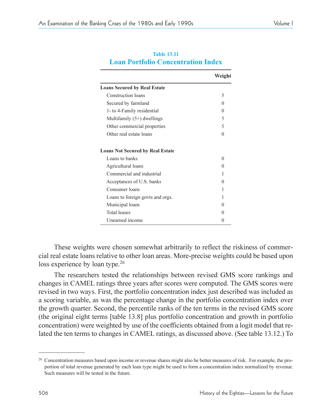|                                         | Weight            |
|-----------------------------------------|-------------------|
| <b>Loans Secured by Real Estate</b>     |                   |
| Construction loans                      | 5                 |
| Secured by farmland                     | 0                 |
| 1- to 4-Family residential              | $\mathbf{0}$      |
| Multifamily $(5+)$ dwellings            | 5                 |
| Other commercial properties             | 5                 |
| Other real estate loans                 | $\Omega$          |
| <b>Loans Not Secured by Real Estate</b> |                   |
| Loans to banks                          | $\Omega$          |
| Agricultural loans                      | 0                 |
| Commercial and industrial               | 1                 |
| Acceptances of U.S. banks               | $\mathbf{0}$      |
| Consumer loans                          | 1                 |
| Loans to foreign govts and orgs.        | 1                 |
| Municipal loans                         | $\Omega$          |
| <b>Total leases</b>                     | $\mathbf{\Omega}$ |
| Unearned income                         | $\mathbf{\Omega}$ |

#### **Table 13.11 Loan Portfolio Concentration Index**

These weights were chosen somewhat arbitrarily to reflect the riskiness of commercial real estate loans relative to other loan areas. More-precise weights could be based upon loss experience by loan type.<sup>26</sup>

The researchers tested the relationships between revised GMS score rankings and changes in CAMEL ratings three years after scores were computed. The GMS scores were revised in two ways. First, the portfolio concentration index just described was included as a scoring variable, as was the percentage change in the portfolio concentration index over the growth quarter. Second, the percentile ranks of the ten terms in the revised GMS score (the original eight terms [table 13.8] plus portfolio concentration and growth in portfolio concentration) were weighted by use of the coefficients obtained from a logit model that related the ten terms to changes in CAMEL ratings, as discussed above. (See table 13.12.) To

<sup>&</sup>lt;sup>26</sup> Concentration measures based upon income or revenue shares might also be better measures of risk. For example, the proportion of total revenue generated by each loan type might be used to form a concentration index normalized by revenue. Such measures will be tested in the future.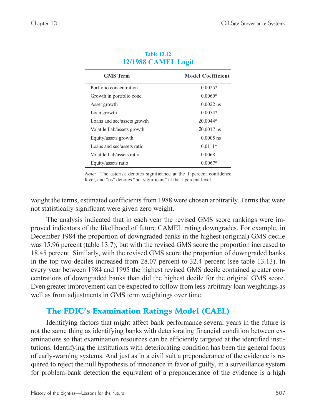| <b>GMS</b> Term             | <b>Model Coefficient</b> |
|-----------------------------|--------------------------|
| Portfolio concentration     | $0.0025*$                |
| Growth in portfolio conc.   | $0.0060*$                |
| Asset growth                | $0.0022$ ns              |
| Loan growth                 | $0.0054*$                |
| Loans and sec/assets growth | $20.0044*$               |
| Volatile liab/assets growth | $20.0017$ ns             |
| Equity/assets growth        | $0.0005$ ns              |
| Loans and sec/assets ratio  | $0.0111*$                |
| Volatile liab/assets ratio  | 0.0068                   |
| Equity/assets ratio         | $0.0067*$                |

#### **Table 13.12 12/1988 CAMEL Logit**

*Note:* The asterisk denotes significance at the 1 percent confidence level, and "ns" denotes "not significant" at the 1 percent level.

weight the terms, estimated coefficients from 1988 were chosen arbitrarily. Terms that were not statistically significant were given zero weight.

The analysis indicated that in each year the revised GMS score rankings were improved indicators of the likelihood of future CAMEL rating downgrades. For example, in December 1984 the proportion of downgraded banks in the highest (original) GMS decile was 15.96 percent (table 13.7), but with the revised GMS score the proportion increased to 18.45 percent. Similarly, with the revised GMS score the proportion of downgraded banks in the top two deciles increased from 28.07 percent to 32.4 percent (see table 13.13). In every year between 1984 and 1995 the highest revised GMS decile contained greater concentrations of downgraded banks than did the highest decile for the original GMS score. Even greater improvement can be expected to follow from less-arbitrary loan weightings as well as from adjustments in GMS term weightings over time.

# The FDIC's Examination Ratings Model (CAEL)

Identifying factors that might affect bank performance several years in the future is not the same thing as identifying banks with deteriorating financial condition between examinations so that examination resources can be efficiently targeted at the identified institutions. Identifying the institutions with deteriorating condition has been the general focus of early-warning systems. And just as in a civil suit a preponderance of the evidence is required to reject the null hypothesis of innocence in favor of guilty, in a surveillance system for problem-bank detection the equivalent of a preponderance of the evidence is a high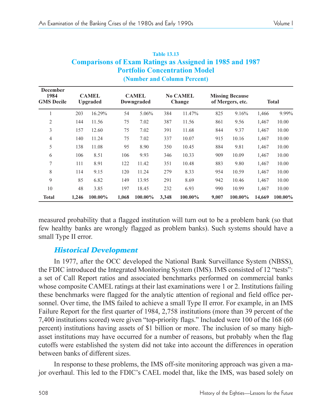|                                       |       |                                 |       |                            |       | Comparisons of Exam Ratings as Assigned in 1985 and 1987<br><b>Portfolio Concentration Model</b><br>(Number and Column Percent) |       |                                            |        |              |
|---------------------------------------|-------|---------------------------------|-------|----------------------------|-------|---------------------------------------------------------------------------------------------------------------------------------|-------|--------------------------------------------|--------|--------------|
| December<br>1984<br><b>GMS</b> Decile |       | <b>CAMEL</b><br><b>Upgraded</b> |       | <b>CAMEL</b><br>Downgraded |       | <b>No CAMEL</b><br>Change                                                                                                       |       | <b>Missing Because</b><br>of Mergers, etc. |        | <b>Total</b> |
|                                       | 203   | 16.29%                          | 54    | 5.06%                      | 384   | 11.47%                                                                                                                          | 825   | 9.16%                                      | 1,466  | 9.99%        |
| $\overline{2}$                        | 144   | 11.56                           | 75    | 7.02                       | 387   | 11.56                                                                                                                           | 861   | 9.56                                       | 1,467  | 10.00        |
| 3                                     | 157   | 12.60                           | 75    | 7.02                       | 391   | 11.68                                                                                                                           | 844   | 9.37                                       | 1,467  | 10.00        |
| 4                                     | 140   | 11.24                           | 75    | 7.02                       | 337   | 10.07                                                                                                                           | 915   | 10.16                                      | 1,467  | 10.00        |
| 5                                     | 138   | 11.08                           | 95    | 8.90                       | 350   | 10.45                                                                                                                           | 884   | 9.81                                       | 1,467  | 10.00        |
| 6                                     | 106   | 8.51                            | 106   | 9.93                       | 346   | 10.33                                                                                                                           | 909   | 10.09                                      | 1,467  | 10.00        |
| 7                                     | 111   | 8.91                            | 122   | 11.42                      | 351   | 10.48                                                                                                                           | 883   | 9.80                                       | 1,467  | 10.00        |
| 8                                     | 114   | 9.15                            | 120   | 11.24                      | 279   | 8.33                                                                                                                            | 954   | 10.59                                      | 1,467  | 10.00        |
| 9                                     | 85    | 6.82                            | 149   | 13.95                      | 291   | 8.69                                                                                                                            | 942   | 10.46                                      | 1,467  | 10.00        |
| 10                                    | 48    | 3.85                            | 197   | 18.45                      | 232   | 6.93                                                                                                                            | 990   | 10.99                                      | 1,467  | 10.00        |
| <b>Total</b>                          | 1,246 | 100.00%                         | 1,068 | 100.00%                    | 3,348 | 100.00%                                                                                                                         | 9,007 | 100.00%                                    | 14,669 | 100.00%      |

| <b>Table 13.13</b>                                              |
|-----------------------------------------------------------------|
| <b>Comparisons of Exam Ratings as Assigned in 1985 and 1987</b> |
| <b>Portfolio Concentration Model</b>                            |
| (Number and Column Percent)                                     |

measured probability that a flagged institution will turn out to be a problem bank (so that few healthy banks are wrongly flagged as problem banks). Such systems should have a small Type II error.

### Historical Development

In 1977, after the OCC developed the National Bank Surveillance System (NBSS), the FDIC introduced the Integrated Monitoring System (IMS). IMS consisted of 12 "tests": a set of Call Report ratios and associated benchmarks performed on commercial banks whose composite CAMEL ratings at their last examinations were 1 or 2. Institutions failing these benchmarks were flagged for the analytic attention of regional and field office personnel. Over time, the IMS failed to achieve a small Type II error. For example, in an IMS Failure Report for the first quarter of 1984, 2,758 institutions (more than 39 percent of the 7,400 institutions scored) were given "top-priority flags." Included were 100 of the 168 (60 percent) institutions having assets of \$1 billion or more. The inclusion of so many highasset institutions may have occurred for a number of reasons, but probably when the flag cutoffs were established the system did not take into account the differences in operation between banks of different sizes.

In response to these problems, the IMS off-site monitoring approach was given a major overhaul. This led to the FDIC's CAEL model that, like the IMS, was based solely on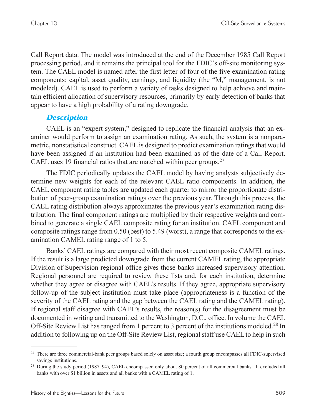Call Report data. The model was introduced at the end of the December 1985 Call Report processing period, and it remains the principal tool for the FDIC's off-site monitoring system. The CAEL model is named after the first letter of four of the five examination rating components: capital, asset quality, earnings, and liquidity (the "M," management, is not modeled). CAEL is used to perform a variety of tasks designed to help achieve and maintain efficient allocation of supervisory resources, primarily by early detection of banks that appear to have a high probability of a rating downgrade.

# **Description**

CAEL is an "expert system," designed to replicate the financial analysis that an examiner would perform to assign an examination rating. As such, the system is a nonparametric, nonstatistical construct. CAEL is designed to predict examination ratings that would have been assigned if an institution had been examined as of the date of a Call Report. CAEL uses 19 financial ratios that are matched within peer groups.<sup>27</sup>

The FDIC periodically updates the CAEL model by having analysts subjectively determine new weights for each of the relevant CAEL ratio components. In addition, the CAEL component rating tables are updated each quarter to mirror the proportionate distribution of peer-group examination ratings over the previous year. Through this process, the CAEL rating distribution always approximates the previous year's examination rating distribution. The final component ratings are multiplied by their respective weights and combined to generate a single CAEL composite rating for an institution. CAEL component and composite ratings range from 0.50 (best) to 5.49 (worst), a range that corresponds to the examination CAMEL rating range of 1 to 5.

Banks' CAEL ratings are compared with their most recent composite CAMEL ratings. If the result is a large predicted downgrade from the current CAMEL rating, the appropriate Division of Supervision regional office gives those banks increased supervisory attention. Regional personnel are required to review these lists and, for each institution, determine whether they agree or disagree with CAEL's results. If they agree, appropriate supervisory follow-up of the subject institution must take place (appropriateness is a function of the severity of the CAEL rating and the gap between the CAEL rating and the CAMEL rating). If regional staff disagree with CAEL's results, the reason(s) for the disagreement must be documented in writing and transmitted to the Washington, D.C., office. In volume the CAEL Off-Site Review List has ranged from 1 percent to 3 percent of the institutions modeled.<sup>28</sup> In addition to following up on the Off-Site Review List, regional staff use CAEL to help in such

<sup>&</sup>lt;sup>27</sup> There are three commercial-bank peer groups based solely on asset size; a fourth group encompasses all FDIC-supervised savings institutions.

<sup>&</sup>lt;sup>28</sup> During the study period (1987–94), CAEL encompassed only about 80 percent of all commercial banks. It excluded all banks with over \$1 billion in assets and all banks with a CAMEL rating of 1.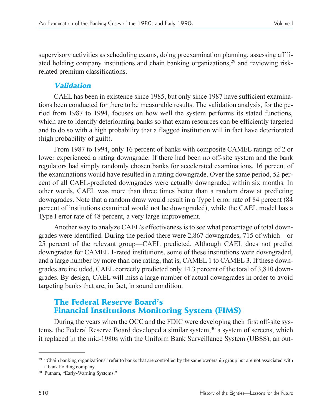supervisory activities as scheduling exams, doing preexamination planning, assessing affiliated holding company institutions and chain banking organizations, $29$  and reviewing riskrelated premium classifications.

## Validation

CAEL has been in existence since 1985, but only since 1987 have sufficient examinations been conducted for there to be measurable results. The validation analysis, for the period from 1987 to 1994, focuses on how well the system performs its stated functions, which are to identify deteriorating banks so that exam resources can be efficiently targeted and to do so with a high probability that a flagged institution will in fact have deteriorated (high probability of guilt).

From 1987 to 1994, only 16 percent of banks with composite CAMEL ratings of 2 or lower experienced a rating downgrade. If there had been no off-site system and the bank regulators had simply randomly chosen banks for accelerated examinations, 16 percent of the examinations would have resulted in a rating downgrade. Over the same period, 52 percent of all CAEL-predicted downgrades were actually downgraded within six months. In other words, CAEL was more than three times better than a random draw at predicting downgrades. Note that a random draw would result in a Type I error rate of 84 percent (84 percent of institutions examined would not be downgraded), while the CAEL model has a Type I error rate of 48 percent, a very large improvement.

Another way to analyze CAEL's effectiveness is to see what percentage of total downgrades were identified. During the period there were  $2,867$  downgrades, 715 of which—or 25 percent of the relevant group-CAEL predicted. Although CAEL does not predict downgrades for CAMEL 1-rated institutions, some of these institutions were downgraded, and a large number by more than one rating, that is, CAMEL 1 to CAMEL 3. If these downgrades are included, CAEL correctly predicted only 14.3 percent of the total of 3,810 downgrades. By design, CAEL will miss a large number of actual downgrades in order to avoid targeting banks that are, in fact, in sound condition.

# The Federal Reserve Board's Financial Institutions Monitoring System (FIMS)

During the years when the OCC and the FDIC were developing their first off-site systems, the Federal Reserve Board developed a similar system,<sup>30</sup> a system of screens, which it replaced in the mid-1980s with the Uniform Bank Surveillance System (UBSS), an out-

 $29$  "Chain banking organizations" refer to banks that are controlled by the same ownership group but are not associated with a bank holding company.

<sup>&</sup>lt;sup>30</sup> Putnam, "Early-Warning Systems."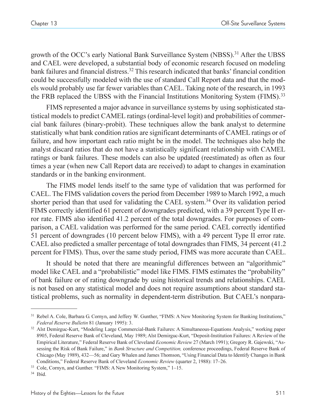growth of the OCC's early National Bank Surveillance System (NBSS).<sup>31</sup> After the UBSS and CAEL were developed, a substantial body of economic research focused on modeling bank failures and financial distress.<sup>32</sup> This research indicated that banks' financial condition could be successfully modeled with the use of standard Call Report data and that the models would probably use far fewer variables than CAEL. Taking note of the research, in 1993 the FRB replaced the UBSS with the Financial Institutions Monitoring System (FIMS).<sup>33</sup>

FIMS represented a major advance in surveillance systems by using sophisticated statistical models to predict CAMEL ratings (ordinal-level logit) and probabilities of commercial bank failures (binary-probit). These techniques allow the bank analyst to determine statistically what bank condition ratios are significant determinants of CAMEL ratings or of failure, and how important each ratio might be in the model. The techniques also help the analyst discard ratios that do not have a statistically significant relationship with CAMEL ratings or bank failures. These models can also be updated (reestimated) as often as four times a year (when new Call Report data are received) to adapt to changes in examination standards or in the banking environment.

The FIMS model lends itself to the same type of validation that was performed for CAEL. The FIMS validation covers the period from December 1989 to March 1992, a much shorter period than that used for validating the CAEL system.34 Over its validation period FIMS correctly identified 61 percent of downgrades predicted, with a 39 percent Type II error rate. FIMS also identified 41.2 percent of the total downgrades. For purposes of comparison, a CAEL validation was performed for the same period. CAEL correctly identified 51 percent of downgrades (10 percent below FIMS), with a 49 percent Type II error rate. CAEL also predicted a smaller percentage of total downgrades than FIMS, 34 percent (41.2 percent for FIMS). Thus, over the same study period, FIMS was more accurate than CAEL.

It should be noted that there are meaningful differences between an "algorithmic" model like CAEL and a "probabilistic" model like FIMS. FIMS estimates the "probability" of bank failure or of rating downgrade by using historical trends and relationships. CAEL is not based on any statistical model and does not require assumptions about standard statistical problems, such as normality in dependent-term distribution. But CAEL's nonpara-

<sup>&</sup>lt;sup>31</sup> Rebel A. Cole, Barbara G. Cornyn, and Jeffery W. Gunther, "FIMS: A New Monitoring System for Banking Institutions," *Federal Reserve Bulletin* 81 (January 1995): 3.

<sup>32</sup> Alst Demirguc-Kurt, "Modeling Large Commercial-Bank Failures: A Simultaneous-Equations Analysis," working paper 8905, Federal Reserve Bank of Cleveland, May 1989; Alst Demirguc-Kurt, "Deposit-Institution Failures: A Review of the Empirical Literature," Federal Reserve Bank of Cleveland *Economic Review* 27 (March 1991); Gregory R. Gajewski, "Assessing the Risk of Bank Failure," in *Bank Structure and Competition*, conference proceedings, Federal Reserve Bank of Chicago (May 1989), 432–56; and Gary Whalen and James Thomson, "Using Financial Data to Identify Changes in Bank Conditions," Federal Reserve Bank of Cleveland *Economic Review* (quarter 2, 1988): 17–26.

<sup>&</sup>lt;sup>33</sup> Cole, Cornyn, and Gunther. "FIMS: A New Monitoring System," 1-15.

<sup>34</sup> Ibid.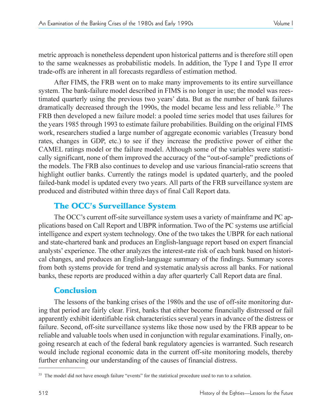metric approach is nonetheless dependent upon historical patterns and is therefore still open to the same weaknesses as probabilistic models. In addition, the Type I and Type II error trade-offs are inherent in all forecasts regardless of estimation method.

After FIMS, the FRB went on to make many improvements to its entire surveillance system. The bank-failure model described in FIMS is no longer in use; the model was reestimated quarterly using the previous two years' data. But as the number of bank failures dramatically decreased through the 1990s, the model became less and less reliable.<sup>35</sup> The FRB then developed a new failure model: a pooled time series model that uses failures for the years 1985 through 1993 to estimate failure probabilities. Building on the original FIMS work, researchers studied a large number of aggregate economic variables (Treasury bond rates, changes in GDP, etc.) to see if they increase the predictive power of either the CAMEL ratings model or the failure model. Although some of the variables were statistically significant, none of them improved the accuracy of the "out-of-sample" predictions of the models. The FRB also continues to develop and use various financial-ratio screens that highlight outlier banks. Currently the ratings model is updated quarterly, and the pooled failed-bank model is updated every two years. All parts of the FRB surveillance system are produced and distributed within three days of final Call Report data.

# The OCC's Surveillance System

The OCC's current off-site surveillance system uses a variety of mainframe and PC applications based on Call Report and UBPR information. Two of the PC systems use artificial intelligence and expert system technology. One of the two takes the UBPR for each national and state-chartered bank and produces an English-language report based on expert financial analysts' experience. The other analyzes the interest-rate risk of each bank based on historical changes, and produces an English-language summary of the findings. Summary scores from both systems provide for trend and systematic analysis across all banks. For national banks, these reports are produced within a day after quarterly Call Report data are final.

# Conclusion

The lessons of the banking crises of the 1980s and the use of off-site monitoring during that period are fairly clear. First, banks that either become financially distressed or fail apparently exhibit identifiable risk characteristics several years in advance of the distress or failure. Second, off-site surveillance systems like those now used by the FRB appear to be reliable and valuable tools when used in conjunction with regular examinations. Finally, ongoing research at each of the federal bank regulatory agencies is warranted. Such research would include regional economic data in the current off-site monitoring models, thereby further enhancing our understanding of the causes of financial distress.

<sup>&</sup>lt;sup>35</sup> The model did not have enough failure "events" for the statistical procedure used to run to a solution.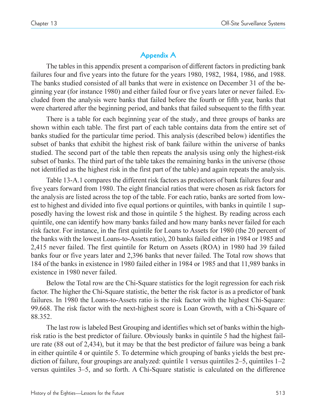# **Appendix A**

The tables in this appendix present a comparison of different factors in predicting bank failures four and five years into the future for the years 1980, 1982, 1984, 1986, and 1988. The banks studied consisted of all banks that were in existence on December 31 of the beginning year (for instance 1980) and either failed four or five years later or never failed. Excluded from the analysis were banks that failed before the fourth or fifth year, banks that were chartered after the beginning period, and banks that failed subsequent to the fifth year.

There is a table for each beginning year of the study, and three groups of banks are shown within each table. The first part of each table contains data from the entire set of banks studied for the particular time period. This analysis (described below) identifies the subset of banks that exhibit the highest risk of bank failure within the universe of banks studied. The second part of the table then repeats the analysis using only the highest-risk subset of banks. The third part of the table takes the remaining banks in the universe (those not identified as the highest risk in the first part of the table) and again repeats the analysis.

Table 13-A.1 compares the different risk factors as predictors of bank failures four and five years forward from 1980. The eight financial ratios that were chosen as risk factors for the analysis are listed across the top of the table. For each ratio, banks are sorted from lowest to highest and divided into five equal portions or quintiles, with banks in quintile 1 supposedly having the lowest risk and those in quintile 5 the highest. By reading across each quintile, one can identify how many banks failed and how many banks never failed for each risk factor. For instance, in the first quintile for Loans to Assets for 1980 (the 20 percent of the banks with the lowest Loans-to-Assets ratio), 20 banks failed either in 1984 or 1985 and 2,415 never failed. The first quintile for Return on Assets (ROA) in 1980 had 39 failed banks four or five years later and 2,396 banks that never failed. The Total row shows that 184 of the banks in existence in 1980 failed either in 1984 or 1985 and that 11,989 banks in existence in 1980 never failed.

Below the Total row are the Chi-Square statistics for the logit regression for each risk factor. The higher the Chi-Square statistic, the better the risk factor is as a predictor of bank failures. In 1980 the Loans-to-Assets ratio is the risk factor with the highest Chi-Square: 99.668. The risk factor with the next-highest score is Loan Growth, with a Chi-Square of 88.352.

The last row is labeled Best Grouping and identifies which set of banks within the highrisk ratio is the best predictor of failure. Obviously banks in quintile 5 had the highest failure rate (88 out of 2,434), but it may be that the best predictor of failure was being a bank in either quintile 4 or quintile 5. To determine which grouping of banks yields the best prediction of failure, four groupings are analyzed: quintile 1 versus quintiles  $2-5$ , quintiles  $1-2$ versus quintiles 35, and so forth. A Chi-Square statistic is calculated on the difference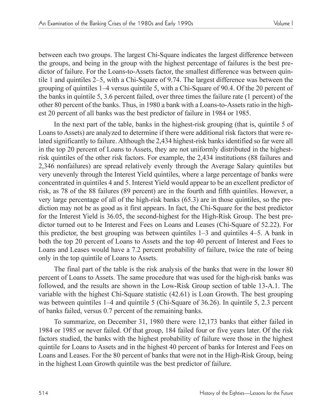between each two groups. The largest Chi-Square indicates the largest difference between the groups, and being in the group with the highest percentage of failures is the best predictor of failure. For the Loans-to-Assets factor, the smallest difference was between quintile 1 and quintiles  $2-5$ , with a Chi-Square of 9.74. The largest difference was between the grouping of quintiles  $1-4$  versus quintile 5, with a Chi-Square of 90.4. Of the 20 percent of the banks in quintile 5, 3.6 percent failed, over three times the failure rate (1 percent) of the other 80 percent of the banks. Thus, in 1980 a bank with a Loans-to-Assets ratio in the highest 20 percent of all banks was the best predictor of failure in 1984 or 1985.

In the next part of the table, banks in the highest-risk grouping (that is, quintile 5 of Loans to Assets) are analyzed to determine if there were additional risk factors that were related significantly to failure. Although the 2,434 highest-risk banks identified so far were all in the top 20 percent of Loans to Assets, they are not uniformly distributed in the highestrisk quintiles of the other risk factors. For example, the 2,434 institutions (88 failures and 2,346 nonfailures) are spread relatively evenly through the Average Salary quintiles but very unevenly through the Interest Yield quintiles, where a large percentage of banks were concentrated in quintiles 4 and 5. Interest Yield would appear to be an excellent predictor of risk, as 78 of the 88 failures (89 percent) are in the fourth and fifth quintiles. However, a very large percentage of all of the high-risk banks (65.3) are in those quintiles, so the prediction may not be as good as it first appears. In fact, the Chi-Square for the best predictor for the Interest Yield is 36.05, the second-highest for the High-Risk Group. The best predictor turned out to be Interest and Fees on Loans and Leases (Chi-Square of 52.22). For this predictor, the best grouping was between quintiles  $1-3$  and quintiles  $4-5$ . A bank in both the top 20 percent of Loans to Assets and the top 40 percent of Interest and Fees to Loans and Leases would have a 7.2 percent probability of failure, twice the rate of being only in the top quintile of Loans to Assets.

The final part of the table is the risk analysis of the banks that were in the lower 80 percent of Loans to Assets. The same procedure that was used for the high-risk banks was followed, and the results are shown in the Low-Risk Group section of table 13-A.1. The variable with the highest Chi-Square statistic (42.61) is Loan Growth. The best grouping was between quintiles  $1-4$  and quintile 5 (Chi-Square of 36.26). In quintile 5, 2.3 percent of banks failed, versus 0.7 percent of the remaining banks.

To summarize, on December 31, 1980 there were 12,173 banks that either failed in 1984 or 1985 or never failed. Of that group, 184 failed four or five years later. Of the risk factors studied, the banks with the highest probability of failure were those in the highest quintile for Loans to Assets and in the highest 40 percent of banks for Interest and Fees on Loans and Leases. For the 80 percent of banks that were not in the High-Risk Group, being in the highest Loan Growth quintile was the best predictor of failure.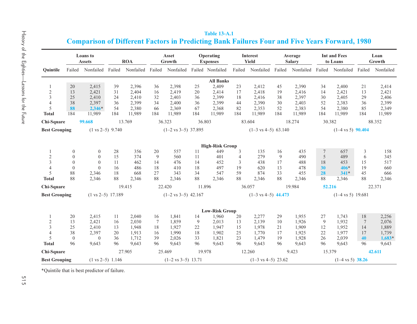| isto <sub>i</sub><br>ry or the |  |
|--------------------------------|--|
| <b>Lighties</b>                |  |
| Lessons for the Futur<br>1     |  |

|                              |                  |                                  |                             |                  |        |                                |          | <b>Comparison of Different Factors in Predicting Bank Failures Four and Five Years Forward, 1980</b> |                     |                                |        |                          |        |                                 |                 |                |
|------------------------------|------------------|----------------------------------|-----------------------------|------------------|--------|--------------------------------|----------|------------------------------------------------------------------------------------------------------|---------------------|--------------------------------|--------|--------------------------|--------|---------------------------------|-----------------|----------------|
|                              |                  | <b>Loans</b> to<br><b>Assets</b> |                             | <b>ROA</b>       |        | Asset<br>Growth                |          | Operating<br><b>Expenses</b>                                                                         |                     | <b>Interest</b><br>Yield       |        | Average<br><b>Salary</b> |        | <b>Int and Fees</b><br>to Loans |                 | Loan<br>Growth |
| Ouintile                     | Failed           | Nonfailed                        | Failed                      | Nonfailed Failed |        | Nonfailed                      |          | Failed Nonfailed                                                                                     | Failed              | Nonfailed                      | Failed | Nonfailed                | Failed | Nonfailed Failed                |                 | Nonfailed      |
|                              |                  |                                  |                             |                  |        |                                |          | <b>All Banks</b>                                                                                     |                     |                                |        |                          |        |                                 |                 |                |
|                              | 20               | 2,415                            | 39                          | 2,396            | 36     | 2,398                          | 25       | 2,409                                                                                                | 23                  | 2,412                          | 45     | 2,390                    | 34     | 2,400                           | 21              | 2,414          |
| $\overline{c}$               | 13               | 2,421                            | 31                          | 2,404            | 16     | 2,419                          | 20       | 2,414                                                                                                | 17                  | 2,418                          | 19     | 2,416                    | 14     | 2,421                           | 13              | 2,421          |
| 3                            | 25               | 2,410                            | 24                          | 2,410            | 32     | 2,403                          | 36       | 2,399                                                                                                | 18                  | 2,416                          | 38     | 2,397                    | 30     | 2,405                           | 29              | 2,406          |
| $\overline{4}$               | 38               | 2,397                            | 36                          | 2,399            | 34     | 2,400                          | 36       | 2,399                                                                                                | 44                  | 2,390                          | 30     | 2,403                    | 52     | 2,383                           | 36              | 2,399          |
| 5                            | 88               | $2.346*$                         | 54                          | 2,380            | 66     | 2,369                          | 67       | 2,368                                                                                                | 82                  | 2,353                          | 52     | 2,383                    | 54     | 2,380                           | 85              | 2,349          |
| <b>Total</b>                 | 184              | 11,989                           | 184                         | 11,989           | 184    | 11,989                         | 184      | 11,989                                                                                               | 184                 | 11,989                         | 184    | 11,989                   | 184    | 11,989                          | 184             | 11,989         |
| Chi-Square                   |                  | 99.668                           |                             | 13.769           |        | 36.323                         | 36.803   |                                                                                                      |                     | 83.604                         |        | 18.274                   | 30.382 |                                 |                 | 88.352         |
| <b>Best Grouping</b>         |                  |                                  | $(1 \text{ vs } 2-5)$ 9.740 |                  |        | $(1-2 \text{ vs } 3-5)$ 37.895 |          |                                                                                                      |                     | $(1-3 \text{ vs } 4-5)$ 63.140 |        |                          |        | $(1-4 \text{ vs } 5)$ 90.404    |                 |                |
|                              |                  |                                  |                             |                  |        |                                |          |                                                                                                      |                     |                                |        |                          |        |                                 |                 |                |
|                              | $\boldsymbol{0}$ | $\mathbf{0}$                     | 28                          | 356              | 20     | 557                            |          | <b>High-Risk Group</b><br>449                                                                        | 3                   | 135                            | 16     | 435                      | $\tau$ | 657                             |                 | 158            |
| 1                            | $\mathbf{0}$     | $\mathbf{0}$                     | 15                          | 374              | 9      | 560                            | 11<br>11 | 401                                                                                                  |                     | 279                            | 9      | 490                      | 5      | 489                             | 3<br>6          |                |
| $\sqrt{2}$<br>$\overline{3}$ | $\mathbf{0}$     | $\mathbf{0}$                     | 11                          | 462              | 14     | 476                            | 14       | 452                                                                                                  | $\overline{4}$<br>3 | 438                            | 17     | 488                      | 18     | 453                             | 15              | 345<br>517     |
| $\overline{4}$               | $\boldsymbol{0}$ | $\theta$                         | 16                          | 486              | 18     | 410                            | 18       | 497                                                                                                  | 19                  | 620                            | 13     | 478                      | 30     | $406*$                          | 19              | 660            |
| 5                            | 88               | 2,346                            | 18                          | 668              | 27     | 343                            | 34       | 547                                                                                                  | 59                  | 874                            | 33     | 455                      | 28     | $341*$                          | 45              |                |
| <b>Total</b>                 | 88               | 2,346                            | 88                          | 2,346            | 88     | 2,346                          | 88       | 2,346                                                                                                | 88                  | 2,346                          | 88     | 2,346                    | 88     | 2,346                           | 88              | 666<br>2,346   |
|                              |                  |                                  |                             |                  |        |                                |          |                                                                                                      |                     |                                |        |                          |        |                                 |                 |                |
| Chi-Square                   |                  |                                  |                             | 19.415           |        | 22.420                         | 11.896   |                                                                                                      |                     | 36.057                         |        | 19.984                   | 52.216 |                                 |                 | 22.371         |
| <b>Best Grouping</b>         |                  | $(1 \text{ vs } 2-5)$ 17.189     |                             |                  |        | $(1-2 \text{ vs } 3-5)$ 42.167 |          |                                                                                                      |                     | $(1-3 \text{ vs } 4-5)$ 44.473 |        |                          |        | $(1-4 \text{ vs } 5)$ 19.681    |                 |                |
|                              |                  |                                  |                             |                  |        |                                |          | <b>Low-Risk Group</b>                                                                                |                     |                                |        |                          |        |                                 |                 |                |
| 1                            | 20               | 2,415                            | 11                          | 2,040            | 16     | 1,841                          | 14       | 1,960                                                                                                | 20                  | 2,277                          | 29     | 1,955                    | 27     | 1,743                           | 18              | 2,256          |
| $\sqrt{2}$                   | 13               | 2,421                            | 16                          | 2,030            | $\tau$ | 1,859                          | 9        | 2,013                                                                                                | 13                  | 2,139                          | 10     | 1,926                    | 9      | 1,932                           | $7\phantom{.0}$ | 2,076          |
| 3                            | 25               | 2,410                            | 13                          | 1,948            | 18     | 1,927                          | 22       | 1,947                                                                                                | 15                  | 1,978                          | 21     | 1,909                    | 12     | 1,952                           | 14              | 1,889          |
| $\overline{4}$               | 38               | 2,397                            | 20                          | 1,913            | 16     | 1,990                          | 18       | 1,902                                                                                                | 25                  | 1,770                          | 17     | 1,925                    | 22     | 1,977                           | 17              | 1,739          |
| 5                            | $\mathbf{0}$     | $\overline{0}$                   | 36                          | 1,712            | 39     | 2,026                          | 33       | 1,821                                                                                                | 23                  | 1,479                          | 19     | 1,928                    | 26     | 2,039                           | 40              | $1,683+$       |
| <b>Total</b>                 | 96               | 9,643                            | 96                          | 9,643            | 96     | 9,643                          | 96       | 9,643                                                                                                | 96                  | 9,643                          | 96     | 9,643                    | 96     | 9,643                           | 96              | 9,643          |
| Chi-Square                   |                  |                                  |                             | 27.905           |        | 25.469                         | 19.978   |                                                                                                      |                     | 12.260                         |        | 9.423                    | 15.379 |                                 |                 | 42.611         |
|                              |                  |                                  |                             |                  |        |                                |          |                                                                                                      |                     |                                |        |                          |        |                                 |                 |                |
| <b>Best Grouping</b>         |                  |                                  | $(1 \text{ vs } 2-5)$ 1.146 |                  |        | $(1-2 \text{ vs } 3-5)$ 13.71  |          |                                                                                                      |                     | $(1-3 \text{ vs } 4-5)$ 23.62  |        |                          |        | $(1-4 \text{ vs } 5)$ 38.26     |                 |                |

**Table 13-A.1**

\*Quintile that is best predictor of failure.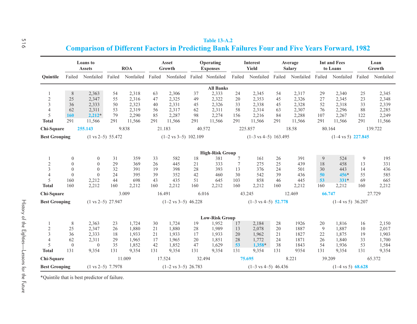|                      |              | Loans to<br><b>Assets</b>                                           |     | <b>ROA</b> |        | Asset<br>Growth                 |        | Operating<br><b>Expenses</b>   |        | Interest<br>Yield               |     | Average<br><b>Salary</b> |        | <b>Int and Fees</b><br>to Loans |        | Loan<br>Growth |
|----------------------|--------------|---------------------------------------------------------------------|-----|------------|--------|---------------------------------|--------|--------------------------------|--------|---------------------------------|-----|--------------------------|--------|---------------------------------|--------|----------------|
| Ouintile             |              | Failed Nonfailed Failed Nonfailed Failed Nonfailed Failed Nonfailed |     |            |        |                                 |        |                                | Failed | Nonfailed                       |     | Failed Nonfailed         | Failed | Nonfailed                       | Failed | Nonfailed      |
|                      |              |                                                                     |     |            |        |                                 |        | <b>All Banks</b>               |        |                                 |     |                          |        |                                 |        |                |
| 1                    | 8            | 2,363                                                               | 54  | 2,318      | 63     | 2,306                           | 37     | 2,333                          | 24     | 2,345                           | 54  | 2,317                    | 29     | 2,340                           | 25     | 2,345          |
| $\sqrt{2}$           | 25           | 2,347                                                               | 55  | 2,316      | 47     | 2,325                           | 49     | 2,322                          | 20     | 2,353                           | 45  | 2,326                    | 27     | 2,345                           | 23     | 2,348          |
| 3                    | 36           | 2,333                                                               | 50  | 2,323      | 40     | 2,331                           | 45     | 2,326                          | 33     | 2,338                           | 45  | 2,328                    | 52     | 2,318                           | 33     | 2,339          |
| $\overline{4}$       | 62           | 2,311                                                               | 53  | 2,319      | 56     | 2,317                           | 62     | 2,311                          | 58     | 2,314                           | 63  | 2,307                    | 76     | 2,296                           | 88     | 2,285          |
| 5                    | 160          | $2,212+$                                                            | 79  | 2,290      | 85     | 2,287                           | 98     | 2,274                          | 156    | 2,216                           | 84  | 2,288                    | 107    | 2,267                           | 122    | 2,249          |
| <b>Total</b>         | 291          | 11,566                                                              | 291 | 11,566     | 291    | 11,566                          | 291    | 11,566                         | 291    | 11,566                          | 291 | 11,566                   | 291    | 11,566                          | 291    | 11,566         |
| Chi-Square           |              | 255.143                                                             |     | 9.838      |        | 21.183                          | 40.572 |                                |        | 225.857                         |     | 18.58                    | 80.164 |                                 |        | 139.722        |
| <b>Best Grouping</b> |              | $(1 \text{ vs } 2-5)$ 55.472                                        |     |            |        | $(1-2 \text{ vs } 3-5)$ 102.109 |        |                                |        | $(1-3 \text{ vs } 4-5)$ 163.495 |     |                          |        | $(1-4 \text{ vs } 5)$ 227.845   |        |                |
|                      |              |                                                                     |     |            |        |                                 |        |                                |        |                                 |     |                          |        |                                 |        |                |
|                      |              |                                                                     |     |            |        |                                 |        | <b>High-Risk Group</b>         |        |                                 |     |                          |        |                                 |        |                |
| 1                    | $\mathbf{0}$ | $\mathbf{0}$                                                        | 31  | 359        | 33     | 582                             | 18     | 381                            | 7      | 161                             | 26  | 391                      | 9      | 524                             | 9      | 195            |
| $\sqrt{2}$           | $\mathbf{0}$ | $\Omega$                                                            | 29  | 369        | 26     | 445                             | 21     | 333                            | $\tau$ | 275                             | 25  | 439                      | 18     | 458                             | 13     | 331            |
| 3                    | $\mathbf{0}$ | $\mathbf{0}$                                                        | 32  | 391        | 19     | 398                             | 28     | 393                            | 13     | 376                             | 24  | 501                      | 30     | 443                             | 14     | 436            |
| $\overline{4}$       | $\mathbf{0}$ | $\mathbf{0}$                                                        | 24  | 395        | 39     | 352                             | 42     | 460                            | 30     | 542                             | 39  | 436                      | 50     | $456*$                          | 55     | 585            |
| 5                    | 160          | 2,212                                                               | 44  | 698        | 43     | 435                             | 51     | 645                            | 103    | 858                             | 46  | 445                      | 53     | $331*$                          | 69     | 665            |
| <b>Total</b>         | 160          | 2,212                                                               | 160 | 2,212      | 160    | 2,212                           | 160    | 2,212                          | 160    | 2,212                           | 160 | 2,212                    | 160    | 2,212                           | 160    | 2,212          |
| Chi-Square           |              |                                                                     |     | 3.009      | 16.491 |                                 | 6.016  |                                | 43.245 |                                 |     | 12.469                   | 66.747 |                                 |        | 27.729         |
| <b>Best Grouping</b> |              | $(1 \text{ vs } 2-5)$ 27.947                                        |     |            |        | $(1-2 \text{ vs } 3-5)$ 46.228  |        |                                |        | $(1-3 \text{ vs } 4-5)$ 52.778  |     |                          |        | $(1-4 \text{ vs } 5)$ 36.207    |        |                |
|                      |              |                                                                     |     |            |        |                                 |        |                                |        |                                 |     |                          |        |                                 |        |                |
| 1                    | 8            | 2,363                                                               | 23  | 1,724      | 30     | 1,724                           | 19     | <b>Low-Risk Group</b><br>1,952 | 17     | 2,184                           | 28  | 1926                     | 20     | 1,816                           | 16     | 2,150          |
|                      | 25           | 2,347                                                               | 26  | 1,880      | 21     | 1,880                           | 28     | 1,989                          |        | 2,078                           | 20  | 1887                     | 9      | 1,887                           | 10     | 2,017          |
| $\mathbf{2}$         |              |                                                                     |     |            |        |                                 |        |                                | 13     |                                 |     |                          |        |                                 |        |                |
| 3                    | 36           | 2,333                                                               | 18  | 1,933      | 21     | 1,933                           | 17     | 1,933                          | 20     | 1,962                           | 21  | 1827                     | 22     | 1,875                           | 19     | 1,903          |
| $\overline{4}$       | 62           | 2,311                                                               | 29  | 1,965      | 17     | 1,965                           | 20     | 1,851                          | 28     | 1,772                           | 24  | 1871                     | 26     | 1,840                           | 33     | 1,700          |
| 5                    | $\mathbf{0}$ | $\mathbf{0}$                                                        | 35  | 1,852      | 42     | 1,852                           | 47     | 1,629                          | 53     | $1,358$ *                       | 38  | 1843                     | 54     | 1,936                           | 53     | 1,584          |
| <b>Total</b>         | 131          | 9,354                                                               | 131 | 9,354      | 131    | 9,354                           | 131    | 9,354                          | 131    | 9,354                           | 131 | 9354                     | 131    | 9,354                           | 131    | 9,354          |
| Chi-Square           |              |                                                                     |     | 11.009     | 17.524 |                                 | 32.494 |                                |        | 75.695                          |     | 8.221                    | 39.209 |                                 |        | 65.372         |
| <b>Best Grouping</b> |              | $(1 \text{ vs } 2-5)$ 7.7978                                        |     |            |        | $(1-2 \text{ vs } 3-5)$ 26.783  |        |                                |        | $(1-3 \text{ vs } 4-5)$ 46.436  |     |                          |        | $(1-4 \text{ vs } 5)$ 68.628    |        |                |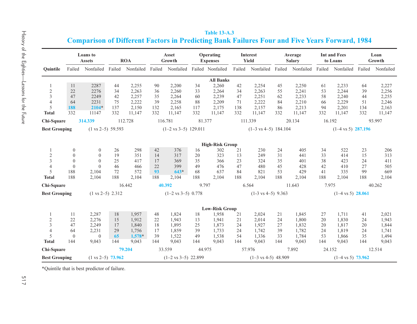|                      |                  | <b>Loans</b> to<br><b>Assets</b> |                             | <b>ROA</b>           |     | Asset<br>Growth                 |        | Operating<br><b>Expenses</b> |         | Interest<br>Yield               |     | Average<br><b>Salary</b> |        | <b>Int and Fees</b><br>to Loans |     | Loan<br>Growth   |
|----------------------|------------------|----------------------------------|-----------------------------|----------------------|-----|---------------------------------|--------|------------------------------|---------|---------------------------------|-----|--------------------------|--------|---------------------------------|-----|------------------|
| Ouintile             |                  | Failed Nonfailed                 |                             | Failed Nonfailed     |     | Failed Nonfailed                |        | Failed Nonfailed             | Failed  | Nonfailed Failed Nonfailed      |     |                          |        | Failed Nonfailed                |     | Failed Nonfailed |
|                      |                  |                                  |                             |                      |     |                                 |        | <b>All Banks</b>             |         |                                 |     |                          |        |                                 |     |                  |
| 1                    | 11               | 2287                             | 44                          | 2,255                | 90  | 2,200                           | 34     | 2,260                        | 42      | 2,254                           | 45  | 2,250                    | 61     | 2,233                           | 64  | 2,227            |
| $\overline{2}$       | 22               | 2276                             | 34                          | 2,263                | 36  | 2,260                           | 33     | 2,264                        | 34      | 2,263                           | 55  | 2,241                    | 53     | 2,244                           | 39  | 2,256            |
| 3                    | 47               | 2249                             | 42                          | 2,257                | 35  | 2,264                           | 60     | 2,239                        | 47      | 2,251                           | 62  | 2,233                    | 58     | 2,240                           | 44  | 2,255            |
| $\overline{4}$       | 64               | 2231                             | 75                          | 2,222                | 39  | 2,258                           | 88     | 2,209                        | 71      | 2,222                           | 84  | 2,210                    | 66     | 2,229                           | 51  | 2,246            |
| 5                    | 188              | $2104*$                          | 137                         | 2,150                | 132 | 2,165                           | 117    | 2,175                        | 138     | 2,157                           | 86  | 2,213                    | 94     | 2,201                           | 134 | 2,163            |
| <b>Total</b>         | 332              | 11147                            | 332                         | 11,147               | 332 | 11,147                          | 332    | 11,147                       | 332     | 11,147                          | 332 | 11,147                   | 332    | 11,147                          | 332 | 11,147           |
| Chi-Square           |                  | 314.339                          |                             | 112.728              |     | 116.781                         | 81.377 |                              | 111.339 |                                 |     | 20.134                   | 16.192 |                                 |     | 93.997           |
| <b>Best Grouping</b> |                  | $(1 \text{ vs } 2-5)$ 59.593     |                             |                      |     | $(1-2 \text{ vs } 3-5)$ 129.011 |        |                              |         | $(1-3 \text{ vs } 4-5)$ 184.104 |     |                          |        | $(1-4 \text{ vs } 5)$ 287.196   |     |                  |
|                      |                  |                                  |                             |                      |     |                                 |        | <b>High-Risk Group</b>       |         |                                 |     |                          |        |                                 |     |                  |
| -1                   | $\boldsymbol{0}$ | $\mathbf{0}$                     | 26                          | 298                  | 42  | 376                             | 16     | 302                          | 21      | 230                             | 24  | 405                      | 34     | 522                             | 23  | 206              |
| $\overline{2}$       | $\mathbf{0}$     | $\mathbf{0}$                     | 19                          | 351                  | 14  | 317                             | 20     | 323                          | 13      | 249                             | 31  | 441                      | 33     | 414                             | 15  | 313              |
| $\overline{3}$       | $\boldsymbol{0}$ | $\mathbf{0}$                     | 25                          | 417                  | 17  | 369                             | 35     | 366                          | 23      | 324                             | 35  | 401                      | 38     | 423                             | 24  | 411              |
| $\overline{4}$       | $\mathbf{0}$     | $\theta$                         | 46                          | 466                  | 22  | 399                             | 49     | 476                          | 47      | 480                             | 45  | 428                      | 42     | 410                             | 27  | 505              |
|                      |                  |                                  |                             |                      |     |                                 |        |                              |         |                                 |     |                          |        |                                 | 99  |                  |
| 5                    | 188              | 2,104                            | 72                          | 572                  | 93  | $643*$                          | 68     | 637                          | 84      | 821                             | 53  | 429                      | 41     | 335                             |     | 669              |
| <b>Total</b>         | 188              | 2,104                            | 188                         | 2,104                | 188 | 2,104                           | 188    | 2,104                        | 188     | 2,104                           | 188 | 2,104                    | 188    | 2,104                           | 188 | 2,104            |
| Chi-Square           |                  |                                  |                             | 16.442               |     | 40.392                          | 9.797  |                              | 6.564   |                                 |     | 11.643                   | 7.975  |                                 |     | 40.262           |
| <b>Best Grouping</b> |                  |                                  | $(1 \text{ vs } 2-5)$ 2.312 |                      |     | $(1-2 \text{ vs } 3-5)$ 0.778   |        |                              |         | $(1-3 \text{ vs } 4-5)$ 9.363   |     |                          |        | $(1-4 \text{ vs } 5)$ 28.061    |     |                  |
|                      |                  |                                  |                             |                      |     |                                 |        | <b>Low-Risk Group</b>        |         |                                 |     |                          |        |                                 |     |                  |
| 1                    | 11               | 2,287                            | 18                          | 1,957                | 48  | 1,824                           | 18     | 1,958                        | 21      | 2,024                           | 21  | 1,845                    | 27     | 1,711                           | 41  | 2,021            |
| $\sqrt{2}$           | 22               | 2,276                            | 15                          | 1,912                | 22  | 1,943                           | 13     | 1,941                        | 21      | 2,014                           | 24  | 1,800                    | 20     | 1,830                           | 24  | 1,943            |
| $\overline{3}$       | 47               | 2,249                            | 17                          | 1,840                | 18  | 1,895                           | 25     | 1,873                        | 24      | 1,927                           | 27  | 1,832                    | 20     | 1,817                           | 20  | 1,844            |
| $\overline{4}$       | 64               | 2,231                            | 29                          | 1,756                | 17  | 1,859                           | 39     | 1,733                        | 24      | 1.742                           | 39  | 1,782                    | 24     | 1,819                           | 24  | 1,741            |
| 5                    | $\mathbf{0}$     | $\mathbf{0}$                     | 65                          | $1,578$ <sup>*</sup> | 39  | 1,522                           | 49     | 1,538                        | 54      | 1,336                           | 33  | 1,784                    | 53     | 1,866                           | 35  | 1,494            |
| <b>Total</b>         | 144              | 9,043                            | 144                         | 9,043                | 144 | 9,043                           | 144    | 9,043                        | 144     | 9,043                           | 144 | 9,043                    | 144    | 9,043                           | 144 | 9,043            |
| Chi-Square           |                  |                                  |                             | 79.204               |     | 33.559                          | 44.975 |                              | 57.976  |                                 |     | 7.892                    | 24.152 |                                 |     | 12.514           |
| <b>Best Grouping</b> |                  | $(1 \text{ vs } 2-5)$ 73.962     |                             |                      |     | $(1-2 \text{ vs } 3-5)$ 22.899  |        |                              |         | $(1-3 \text{ vs } 4-5)$ 48.909  |     |                          |        | $(1-4 \text{ vs } 5)$ 73.962    |     |                  |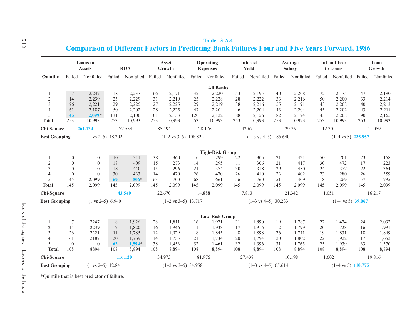|                      |                  | Loans to<br><b>Assets</b>    | <b>ROA</b>      |                  |     | Asset<br>Growth                   |         | Operating<br><b>Expenses</b> |        | Interest<br>Yield               | Average<br><b>Salary</b> |                  | <b>Int and Fees</b><br>to Loans |                               |                  | Loan<br>Growth |  |
|----------------------|------------------|------------------------------|-----------------|------------------|-----|-----------------------------------|---------|------------------------------|--------|---------------------------------|--------------------------|------------------|---------------------------------|-------------------------------|------------------|----------------|--|
| Ouintile             |                  | Failed Nonfailed             |                 | Failed Nonfailed |     | Failed Nonfailed Failed Nonfailed |         |                              | Failed | Nonfailed                       |                          | Failed Nonfailed |                                 | Failed Nonfailed              | Failed Nonfailed |                |  |
|                      |                  |                              |                 |                  |     |                                   |         | <b>All Banks</b>             |        |                                 |                          |                  |                                 |                               |                  |                |  |
| 1                    | $\overline{7}$   | 2,247                        | 18              | 2,237            | 66  | 2,171                             | 32      | 2,220                        | 53     | 2,195                           | 40                       | 2,208            | 72                              | 2,175                         | 47               | 2,190          |  |
| $\sqrt{2}$           | 14               | 2,239                        | 25              | 2,229            | 31  | 2,219                             | 25      | 2,228                        | 28     | 2,222                           | 33                       | 2,216            | 50                              | 2,200                         | 33               | 2,214          |  |
| 3                    | 26               | 2,221                        | 29              | 2,225            | 27  | 2,225                             | 29      | 2,219                        | 38     | 2,216                           | 55                       | 2,191            | 43                              | 2,208                         | 40               | 2,213          |  |
| $\overline{4}$       | 61               | 2,187                        | 50              | 2,202            | 28  | 2,225                             | 47      | 2,204                        | 46     | 2,204                           | 43                       | 2,204            | 45                              | 2,202                         | 43               | 2,211          |  |
| 5                    | 145              | $2,099*$                     | 131             | 2,100            | 101 | 2,153                             | 120     | 2,122                        | 88     | 2,156                           | 82                       | 2,174            | 43                              | 2,208                         | 90               | 2,165          |  |
| <b>Total</b>         | 253              | 10,993                       | 253             | 10,993           | 253 | 10,993                            | 253     | 10,993                       | 253    | 10,993                          | 253                      | 10,993           | 253                             | 10,993                        | 253              | 10,993         |  |
| Chi-Square           |                  | 261.134                      |                 | 177.554          |     | 85.494                            | 128.176 |                              | 42.67  |                                 |                          | 29.761           | 12.301                          |                               |                  | 41.059         |  |
| <b>Best Grouping</b> |                  | $(1 \text{ vs } 2-5)$ 48.202 |                 |                  |     | $(1-2 \text{ vs } 3-5)$ 108.822   |         |                              |        | $(1-3 \text{ vs } 4-5)$ 185.640 |                          |                  |                                 | $(1-4 \text{ vs } 5)$ 225.957 |                  |                |  |
|                      |                  |                              |                 |                  |     |                                   |         | <b>High-Risk Group</b>       |        |                                 |                          |                  |                                 |                               |                  |                |  |
| 1                    | $\boldsymbol{0}$ | $\boldsymbol{0}$             | 10              | 311              | 38  | 360                               | 16      | 299                          | 22     | 305                             | 21                       | 421              | 50                              | 701                           | 23               | 158            |  |
| $\mathfrak{2}$       | $\mathbf{0}$     | $\mathbf{0}$                 | 18              | 409              | 15  | 273                               | 14      | 295                          | 11     | 306                             | 21                       | 417              | 30                              | 472                           | 17               | 223            |  |
| $\overline{3}$       | $\mathbf{0}$     | $\mathbf{0}$                 | 18              | 440              | 15  | 296                               | 21      | 374                          | 30     | 318                             | 29                       | 450              | 24                              | 377                           | 22               | 364            |  |
| $\overline{4}$       | $\overline{0}$   | $\theta$                     | 30              | 433              | 14  | 470                               | 26      | 470                          | 26     | 410                             | 23                       | 402              | 23                              | 280                           | 26               | 559            |  |
| 5                    | 145              | 2,099                        | 69              | $506*$           | 63  | 700                               | 68      | 661                          | 56     | 760                             | 51                       | 409              | 18                              | 269                           | 57               | 795            |  |
| <b>Total</b>         | 145              | 2,099                        | 145             | 2,099            | 145 | 2,099                             | 145     | 2,099                        | 145    | 2,099                           | 145                      | 2,099            | 145                             | 2,099                         | 145              | 2,099          |  |
| Chi-Square           |                  |                              |                 | 43.549           |     | 22.670                            | 14.888  |                              | 7.813  |                                 |                          | 21.342           | 1.051                           |                               |                  | 16.217         |  |
| <b>Best Grouping</b> |                  | $(1 \text{ vs } 2-5)$ 6.940  |                 |                  |     | $(1-2 \text{ vs } 3-5)$ 13.717    |         |                              |        | $(1-3 \text{ vs } 4-5)$ 30.233  |                          |                  |                                 | $(1-4 \text{ vs } 5)$ 39.067  |                  |                |  |
|                      |                  |                              |                 |                  |     |                                   |         |                              |        |                                 |                          |                  |                                 |                               |                  |                |  |
|                      |                  |                              |                 |                  |     |                                   |         | <b>Low-Risk Group</b>        |        |                                 |                          |                  |                                 |                               |                  |                |  |
| 1                    | 7                | 2247                         | 8               | 1,926            | 28  | 1,811                             | 16      | 1,921                        | 31     | 1,890                           | 19                       | 1,787            | 22                              | 1,474                         | 24               | 2,032          |  |
| $\sqrt{2}$           | 14               | 2239                         | $7\phantom{.0}$ | 1,820            | 16  | 1,946                             | 11      | 1,933                        | 17     | 1,916                           | 12                       | 1,799            | 20                              | 1,728                         | 16               | 1,991          |  |
| $\overline{3}$       | 26               | 2221                         | 11              | 1,785            | 12  | 1,929                             | 8       | 1,845                        | 8      | 1,898                           | 26                       | 1,741            | 19                              | 1,831                         | 18               | 1,849          |  |
| $\overline{4}$       | 61               | 2187                         | 20              | 1,769            | 14  | 1,755                             | 21      | 1,734                        | 20     | 1,794                           | 20                       | 1,802            | 22                              | 1,922                         | 17               | 1,652          |  |
| 5                    | $\mathbf{0}$     | $\mathbf{0}$                 | 62              | $1,594*$         | 38  | 1,453                             | 52      | 1,461                        | 32     | 1,396                           | 31                       | 1,765            | 25                              | 1,939                         | 33               | 1,370          |  |
| <b>Total</b>         | 108              | 8894                         | 108             | 8,894            | 108 | 8,894                             | 108     | 8,894                        | 108    | 8,894                           | 108                      | 8,894            | 108                             | 8,894                         | 108              | 8,894          |  |
| Chi-Square           |                  |                              |                 | 116.120          |     | 34.973                            | 81.976  |                              | 27.438 |                                 |                          | 10.198           | 1.602                           |                               |                  | 19.816         |  |
| <b>Best Grouping</b> |                  | $(1 \text{ vs } 2-5)$ 12.841 |                 |                  |     | $(1-2 \text{ vs } 3-5)$ 34.958    |         |                              |        | $(1-3 \text{ vs } 4-5)$ 65.614  |                          |                  |                                 | $(1-4 \text{ vs } 5)$ 110.775 |                  |                |  |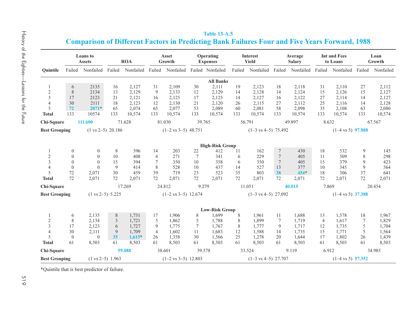|                                                 |                                                                   | ſ                                      |
|-------------------------------------------------|-------------------------------------------------------------------|----------------------------------------|
|                                                 | <b>Ouintile</b>                                                   | Fail                                   |
| History of the Eighties——Lessons for the Future | 1<br>$\frac{2}{3}$<br>$\frac{4}{5}$<br><b>Total</b><br>Chi-Square | $\frac{6}{8}$<br>17<br>30<br>72<br>133 |
|                                                 | <b>Best Grouping</b>                                              |                                        |

|                      |                  | <b>Loans</b> to<br><b>Assets</b> |                             | <b>ROA</b>       |                 | Asset<br>Growth                |                 | Operating<br><b>Expenses</b> |        | Interest<br>Yield              |                  | Average<br>Salary |                | <b>Int and Fees</b><br>to Loans |                 | Loan<br>Growth   |
|----------------------|------------------|----------------------------------|-----------------------------|------------------|-----------------|--------------------------------|-----------------|------------------------------|--------|--------------------------------|------------------|-------------------|----------------|---------------------------------|-----------------|------------------|
| Ouintile             |                  | Failed Nonfailed                 | Failed                      | Nonfailed Failed |                 | Nonfailed                      |                 | Failed Nonfailed             | Failed | Nonfailed                      | Failed           | Nonfailed Failed  |                | Nonfailed                       |                 | Failed Nonfailed |
|                      |                  |                                  |                             |                  |                 |                                |                 | <b>All Banks</b>             |        |                                |                  |                   |                |                                 |                 |                  |
|                      | 6                | 2135                             | 16                          | 2,127            | 31              | 2,109                          | 30              | 2,111                        | 19     | 2,123                          | 18               | 2,118             | 31             | 2,110                           | 27              | 2,112            |
| $\sqrt{2}$           | 8                | 2134                             | 13                          | 2,129            | 9               | 2,133                          | 12              | 2,129                        | 14     | 2,128                          | 14               | 2,124             | 15             | 2,126                           | 15              | 2,127            |
| $\overline{3}$       | 17               | 2123                             | 21                          | 2,121            | 16              | 2,125                          | 17              | 2,125                        | 14     | 2,127                          | 16               | 2,122             | 27             | 2,114                           | 14              | 2,127            |
| $\overline{4}$       | 30               | 2111                             | 18                          | 2,123            | 12              | 2,130                          | 21              | 2,120                        | 26     | 2,115                          | 27               | 2,112             | 25             | 2,116                           | 14              | 2,128            |
| 5                    | 72               | $2071*$                          | 65                          | 2,074            | 65              | 2,077                          | 53              | 2,089                        | 60     | 2,081                          | 58               | 2,098             | 35             | 2,108                           | 63              | 2,080            |
| <b>Total</b>         | 133              | 10574                            | 133                         | 10,574           | 133             | 10,574                         | 133             | 10,574                       | 133    | 10,574                         | 133              | 10,574            | 133            | 10,574                          | 133             | 10,574           |
| Chi-Square           |                  | 111.600                          |                             | 71.628           |                 | 81.030                         | 39.765          |                              | 56.791 |                                |                  | 49.897            | 8.632          |                                 |                 | 67.567           |
| <b>Best Grouping</b> |                  | $(1 \text{ vs } 2-5)$ 20.186     |                             |                  |                 | $(1-2 \text{ vs } 3-5)$ 48.751 |                 |                              |        | $(1-3 \text{ vs } 4-5)$ 75.492 |                  |                   |                | $(1-4 \text{ vs } 5)$ 97.888    |                 |                  |
|                      |                  |                                  |                             |                  |                 |                                |                 |                              |        |                                |                  |                   |                |                                 |                 |                  |
|                      |                  |                                  |                             |                  |                 |                                |                 | <b>High-Risk Group</b>       |        |                                |                  |                   |                |                                 |                 |                  |
| -1                   | $\boldsymbol{0}$ | $\boldsymbol{0}$                 | 8                           | 396              | 14              | 203                            | 22              | 412                          | 11     | 162                            | $\tau$           | 430               | 18             | 532                             | 9               | 145              |
| $\sqrt{2}$           | $\overline{0}$   | $\theta$                         | 10                          | 408              | $\overline{4}$  | 271                            | $7\phantom{.0}$ | 341                          | 6      | 229                            | $\overline{7}$   | 405               | 11             | 509                             | 8               | 298              |
| $\overline{3}$       | $\mathbf{0}$     | $\overline{0}$                   | 15                          | 394              | $7\phantom{.0}$ | 350                            | 10              | 358                          | 6      | 350                            | $\boldsymbol{7}$ | 405               | 15             | 379                             | 9               | 423              |
| $\overline{4}$       | $\boldsymbol{0}$ | $\mathbf{0}$                     | 9                           | 414              | 8               | 528                            | 10              | 437                          | 14     | 527                            | 13               | 377               | 10             | 345                             | 9               | 564              |
| 5                    | 72               | 2,071                            | 30                          | 459              | 39              | 719                            | 23              | 523                          | 35     | 803                            | 38               | $454*$            | 18             | 306                             | 37              | 641              |
| <b>Total</b>         | 72               | 2,071                            | 72                          | 2,071            | 72              | 2,071                          | 72              | 2,071                        | 72     | 2,071                          | 72               | 2,071             | 72             | 2,071                           | 72              | 2,071            |
| Chi-Square           |                  |                                  |                             | 17.269           |                 | 24.812                         | 9.279           |                              | 11.051 |                                |                  | 40.015            | 7.869          |                                 |                 | 20.454           |
| <b>Best Grouping</b> |                  |                                  | $(1 \text{ vs } 2-5)$ 5.225 |                  |                 | $(1-2 \text{ vs } 3-5)$ 12.674 |                 |                              |        | $(1-3 \text{ vs } 4-5)$ 27.092 |                  |                   |                | $(1-4 \text{ vs } 5)$ 37.388    |                 |                  |
|                      |                  |                                  |                             |                  |                 |                                |                 |                              |        |                                |                  |                   |                |                                 |                 |                  |
|                      |                  |                                  |                             |                  |                 |                                |                 | <b>Low-Risk Group</b>        |        |                                |                  |                   |                |                                 |                 |                  |
| 1                    | 6                | 2,135                            | 8                           | 1,731            | 17              | 1,906                          | 8               | 1,699                        | 8      | 1,961                          | 11               | 1,688             | 13             | 1,578                           | 18              | 1,967            |
| $\sqrt{2}$           | 8                | 2,134                            | 3                           | 1,721            | 5               | 1,862                          | 5               | 1.788                        | 8      | 1,899                          | $7\phantom{.0}$  | 1,719             | $\overline{4}$ | 1,617                           | $7\phantom{.0}$ | 1,829            |
| $\overline{3}$       | 17               | 2,123                            | 6                           | 1,727            | 9               | 1,775                          | $\tau$          | 1,767                        | 8      | 1,777                          | 9                | 1,717             | 12             | 1,735                           | 5               | 1,704            |
| $\overline{4}$       | 30               | 2,111                            | 9                           | 1,709            | $\overline{4}$  | 1,602                          | 11              | 1,683                        | 12     | 1,588                          | 14               | 1,735             | 15             | 1,771                           | 5               | 1,564            |
| 5                    | $\boldsymbol{0}$ | $\mathbf{0}$                     | 35                          | $1,615*$         | 26              | 1,358                          | 30              | 1,566                        | 25     | 1,278                          | 20               | 1,644             | 17             | 1,802                           | 26              | 1,439            |
| <b>Total</b>         | 61               | 8,503                            | 61                          | 8,503            | 61              | 8,503                          | 61              | 8,503                        | 61     | 8,503                          | 61               | 8,503             | 61             | 8,503                           | 61              | 8,503            |
| Chi-Square           |                  |                                  |                             | 59.088           |                 | 38.601                         | 39.578          |                              | 33.524 |                                |                  | 9.119             | 6.912          |                                 |                 | 34.985           |
| <b>Best Grouping</b> |                  |                                  | $(1 \text{ vs } 2-5)$ 1.963 |                  |                 | $(1-2 \text{ vs } 3-5)$ 12.803 |                 |                              |        | $(1-3 \text{ vs } 4-5)$ 27.707 |                  |                   |                | $(1-4 \text{ vs } 5)$ 57.352    |                 |                  |